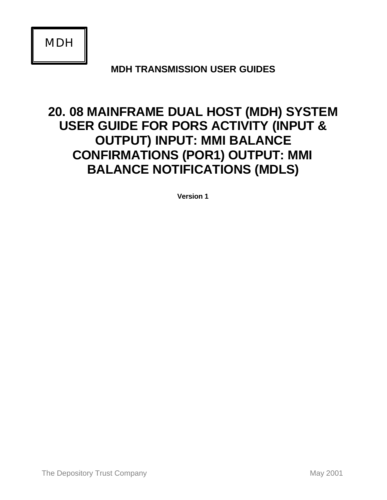*MDH*

**MDH TRANSMISSION USER GUIDES**

# **20. 08 MAINFRAME DUAL HOST (MDH) SYSTEM USER GUIDE FOR PORS ACTIVITY (INPUT & OUTPUT) INPUT: MMI BALANCE CONFIRMATIONS (POR1) OUTPUT: MMI BALANCE NOTIFICATIONS (MDLS)**

**Version 1**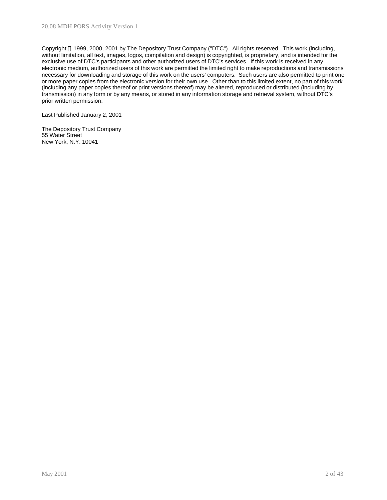Copyright 1999, 2000, 2001 by The Depository Trust Company ("DTC"). All rights reserved. This work (including, without limitation, all text, images, logos, compilation and design) is copyrighted, is proprietary, and is intended for the exclusive use of DTC's participants and other authorized users of DTC's services. If this work is received in any electronic medium, authorized users of this work are permitted the limited right to make reproductions and transmissions necessary for downloading and storage of this work on the users' computers. Such users are also permitted to print one or more paper copies from the electronic version for their own use. Other than to this limited extent, no part of this work (including any paper copies thereof or print versions thereof) may be altered, reproduced or distributed (including by transmission) in any form or by any means, or stored in any information storage and retrieval system, without DTC's prior written permission.

Last Published January 2, 2001

The Depository Trust Company 55 Water Street New York, N.Y. 10041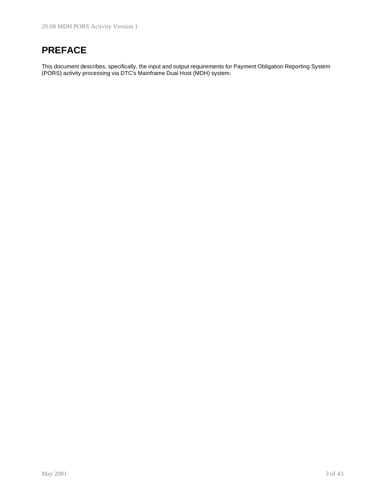# **PREFACE**

This document describes, specifically, the input and output requirements for Payment Obligation Reporting System (PORS) activity processing via DTC's Mainframe Dual Host (MDH) system.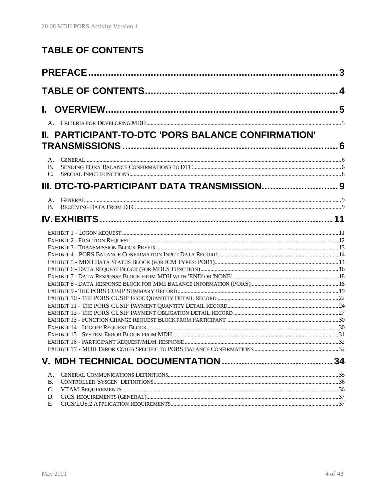# **TABLE OF CONTENTS**

| II. PARTICIPANT-TO-DTC 'PORS BALANCE CONFIRMATION'<br><b>B.</b><br>C.<br><b>B.</b><br>34<br>A.<br><b>B.</b><br>C.<br>D.<br>E. |  |
|-------------------------------------------------------------------------------------------------------------------------------|--|
|                                                                                                                               |  |
|                                                                                                                               |  |
|                                                                                                                               |  |
|                                                                                                                               |  |
|                                                                                                                               |  |
|                                                                                                                               |  |
|                                                                                                                               |  |
|                                                                                                                               |  |
|                                                                                                                               |  |
|                                                                                                                               |  |
|                                                                                                                               |  |
|                                                                                                                               |  |
|                                                                                                                               |  |
|                                                                                                                               |  |
|                                                                                                                               |  |
|                                                                                                                               |  |
|                                                                                                                               |  |
|                                                                                                                               |  |
|                                                                                                                               |  |
|                                                                                                                               |  |
|                                                                                                                               |  |
|                                                                                                                               |  |
|                                                                                                                               |  |
|                                                                                                                               |  |
|                                                                                                                               |  |
|                                                                                                                               |  |
|                                                                                                                               |  |
|                                                                                                                               |  |
|                                                                                                                               |  |
|                                                                                                                               |  |
|                                                                                                                               |  |
|                                                                                                                               |  |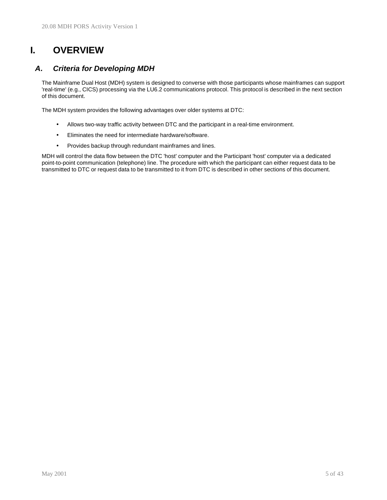# **I. OVERVIEW**

## *A. Criteria for Developing MDH*

The Mainframe Dual Host (MDH) system is designed to converse with those participants whose mainframes can support 'real-time' (e.g., CICS) processing via the LU6.2 communications protocol. This protocol is described in the next section of this document.

The MDH system provides the following advantages over older systems at DTC:

- Allows two-way traffic activity between DTC and the participant in a real-time environment.
- Eliminates the need for intermediate hardware/software.
- Provides backup through redundant mainframes and lines.

MDH will control the data flow between the DTC 'host' computer and the Participant 'host' computer via a dedicated point-to-point communication (telephone) line. The procedure with which the participant can either request data to be transmitted to DTC or request data to be transmitted to it from DTC is described in other sections of this document.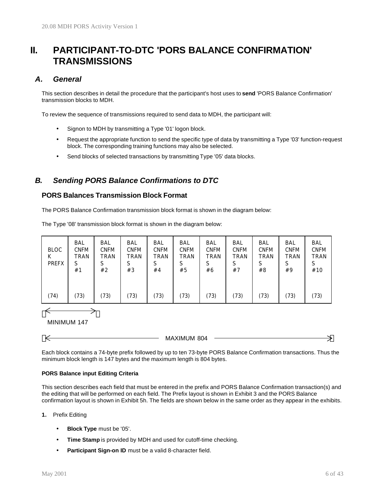# **II. PARTICIPANT-TO-DTC 'PORS BALANCE CONFIRMATION' TRANSMISSIONS**

## *A. General*

This section describes in detail the procedure that the participant's host uses to **send** 'PORS Balance Confirmation' transmission blocks to MDH.

To review the sequence of transmissions required to send data to MDH, the participant will:

- Signon to MDH by transmitting a Type '01' logon block.
- Request the appropriate function to send the specific type of data by transmitting a Type '03' function-request block. The corresponding training functions may also be selected.
- Send blocks of selected transactions by transmitting Type '05' data blocks.

## *B. Sending PORS Balance Confirmations to DTC*

#### **PORS Balances Transmission Block Format**

The PORS Balance Confirmation transmission block format is shown in the diagram below:

The Type '08' transmission block format is shown in the diagram below:



MAXIMUM 804

Each block contains a 74-byte prefix followed by up to ten 73-byte PORS Balance Confirmation transactions. Thus the minimum block length is 147 bytes and the maximum length is 804 bytes.

#### **PORS Balance input Editing Criteria**

This section describes each field that must be entered in the prefix and PORS Balance Confirmation transaction(s) and the editing that will be performed on each field. The Prefix layout is shown in Exhibit 3 and the PORS Balance confirmation layout is shown in Exhibit 5h. The fields are shown below in the same order as they appear in the exhibits.

#### **1.** Prefix Editing

- **Block Type** must be '05'.
- **Time Stamp** is provided by MDH and used for cutoff-time checking.
- **Participant Sign-on ID** must be a valid 8-character field.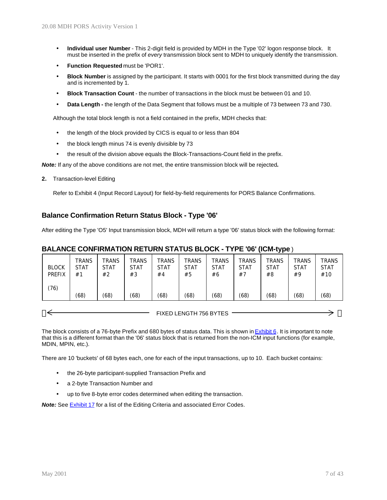- **Individual user Number** This 2-digit field is provided by MDH in the Type '02' logon response block. It must be inserted in the prefix of *every* transmission block sent to MDH to uniquely identify the transmission.
- **Function Requested** must be 'POR1'.
- **Block Number** is assigned by the participant. It starts with 0001 for the first block transmitted during the day and is incremented by 1.
- **Block Transaction Count** the number of transactions in the block must be between 01 and 10.
- **Data Length -** the length of the Data Segment that follows must be a multiple of 73 between 73 and 730.

Although the total block length is not a field contained in the prefix, MDH checks that:

- the length of the block provided by CICS is equal to or less than 804
- the block length minus 74 is evenly divisible by 73
- the result of the division above equals the Block-Transactions-Count field in the prefix.

*Note:* If any of the above conditions are not met, the entire transmission block will be rejected*.*

**2.** Transaction-level Editing

Refer to Exhibit 4 (Input Record Layout) for field-by-field requirements for PORS Balance Confirmations.

#### **Balance Confirmation Return Status Block - Type '06'**

After editing the Type 'O5' Input transmission block, MDH will return a type '06' status block with the following format:

#### **BALANCE CONFIRMATION RETURN STATUS BLOCK - TYPE '06' (ICM-type**)

| TRANS<br><b>BLOCK</b><br><b>STAT</b><br><b>PREFIX</b><br>#1 | TRANS<br><b>STAT</b><br>#2 | TRANS<br><b>STAT</b><br>#3 | <b>TRANS</b><br>STAT<br>#4 | TRANS<br><b>STAT</b><br>#5 | <b>TRANS</b><br><b>STAT</b><br>#6 | TRANS<br><b>STAT</b><br>#7 | <b>TRANS</b><br>STAT<br>#8 | TRANS<br>STAT<br>#9 | <b>TRANS</b><br><b>STAT</b><br>#10 |
|-------------------------------------------------------------|----------------------------|----------------------------|----------------------------|----------------------------|-----------------------------------|----------------------------|----------------------------|---------------------|------------------------------------|
| (76)<br>(68)                                                | (68)                       | (68)                       | (68)                       | (68)                       | (68)                              | (68)                       | (68)                       | (68)                | (68)                               |

FIXED LENGTH 756 BYTES

The block consists of a 76-byte Prefix and 680 bytes of status data. This is shown in Exhibit 6. It is important to note that this is a different format than the '06' status block that is returned from the non-ICM input functions (for example, MDIN, MPIN, etc.).

There are 10 'buckets' of 68 bytes each, one for each of the input transactions, up to 10. Each bucket contains:

- the 26-byte participant-supplied Transaction Prefix and
- a 2-byte Transaction Number and
- up to five 8-byte error codes determined when editing the transaction.

*Note:* See Exhibit 17 for a list of the Editing Criteria and associated Error Codes.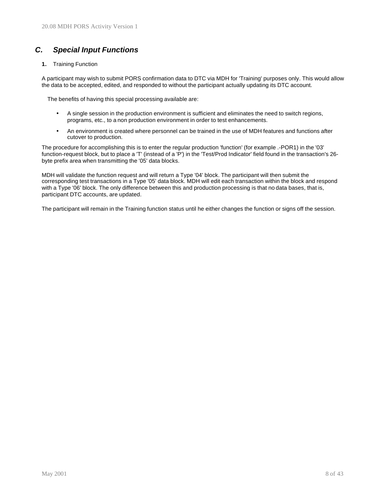## *C. Special Input Functions*

**1.** Training Function

A participant may wish to submit PORS confirmation data to DTC via MDH for 'Training' purposes only. This would allow the data to be accepted, edited, and responded to without the participant actually updating its DTC account.

The benefits of having this special processing available are:

- A single session in the production environment is sufficient and eliminates the need to switch regions, programs, etc., to a non production environment in order to test enhancements.
- An environment is created where personnel can be trained in the use of MDH features and functions after cutover to production.

The procedure for accomplishing this is to enter the regular production 'function' (for example .-POR1) in the '03' function-request block, but to place a 'T' (instead of a 'P') in the 'Test/Prod Indicator' field found in the transaction's 26 byte prefix area when transmitting the '05' data blocks.

MDH will validate the function request and will return a Type '04' block. The participant will then submit the corresponding test transactions in a Type '05' data block. MDH will edit each transaction within the block and respond with a Type '06' block. The only difference between this and production processing is that no data bases, that is, participant DTC accounts, are updated.

The participant will remain in the Training function status until he either changes the function or signs off the session.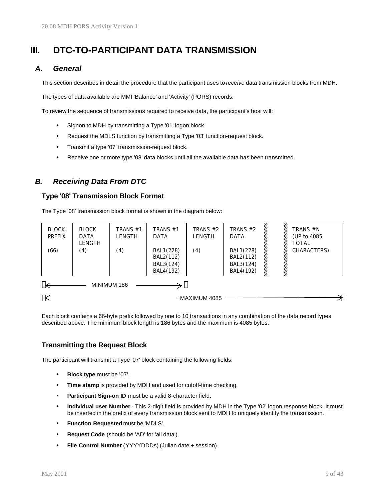# **III. DTC-TO-PARTICIPANT DATA TRANSMISSION**

### *A. General*

This section describes in detail the procedure that the participant uses to *receive* data transmission blocks from MDH.

The types of data available are MMI 'Balance' and 'Activity' (PORS) records.

To review the sequence of transmissions required to receive data, the participant's host will:

- Signon to MDH by transmitting a Type '01' logon block.
- Request the MDLS function by transmitting a Type '03' function-request block.
- Transmit a type '07' transmission-request block.
- Receive one or more type '08' data blocks until all the available data has been transmitted.

## *B. Receiving Data From DTC*

#### **Type '08' Transmission Block Format**

The Type '08' transmission block format is shown in the diagram below:

| <b>BLOCK</b><br>PREFIX<br>(66) | <b>BLOCK</b><br>DATA<br>LENGTH<br>(4) | TRANS #1<br>LENGTH<br>(4) | TRANS #1<br>DATA<br>BAL1(228)<br>BAL2(112)<br>BAL3(124)<br>BAL4(192) | TRANS $#2$<br>LENGTH<br>(4) | TRANS #2<br><b>DATA</b><br>BAL1(228)<br>BAL2(112)<br>BAL3(124)<br>BAL4(192) |  | TRANS #N<br>(UP to 4085<br><b>TOTAL</b><br>CHARACTERS) |
|--------------------------------|---------------------------------------|---------------------------|----------------------------------------------------------------------|-----------------------------|-----------------------------------------------------------------------------|--|--------------------------------------------------------|
| MINIMUM 186<br>MAXIMUM 4085    |                                       |                           |                                                                      |                             |                                                                             |  |                                                        |

Each block contains a 66-byte prefix followed by one to 10 transactions in any combination of the data record types described above. The minimum block length is 186 bytes and the maximum is 4085 bytes.

### **Transmitting the Request Block**

The participant will transmit a Type '07' block containing the following fields:

- **Block type** must be '07'.
- **Time stamp** is provided by MDH and used for cutoff-time checking.
- Participant Sign-on ID must be a valid 8-character field.
- **Individual user Number** This 2-digit field is provided by MDH in the Type '02' logon response block. It must be inserted in the prefix of every transmission block sent to MDH to uniquely identify the transmission.
- **Function Requested** must be 'MDLS'.
- **Request Code** (should be 'AD' for 'all data').
- **File Control Number** (YYYYDDDs).(Julian date + session).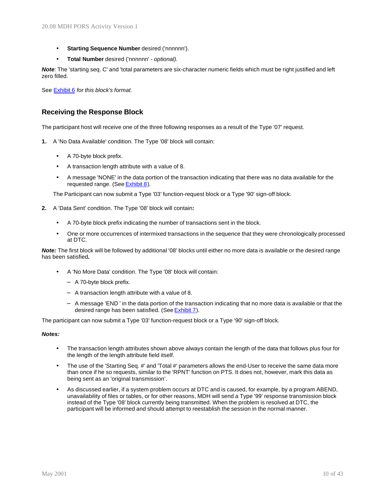- **Starting Sequence Number** desired ('nnnnnn').
- **Total Number** desired ('nnnnnn' *optional).*

*Note*: The 'starting seq. C' and 'total parameters are six-character numeric fields which must be right justified and left zero filled.

See Exhibit 6 *for this block's format.*

#### **Receiving the Response Block**

The participant host will receive one of the three following responses as a result of the Type '07' request.

- **1.** A 'No Data Available' condition. The Type '08' block will contain:
	- A 70-byte block prefix.
	- A transaction length attribute with a value of 8.
	- A message 'NONE' in the data portion of the transaction indicating that there was no data available for the requested range. (See Exhibit 8).

The Participant can now submit a Type '03' function-request block or a Type '90' sign-off block.

- **2.** A 'Data Sent' condition. The Type '08' block will contain**:**
	- A 70-byte block prefix indicating the number of transactions sent in the block.
	- One or more occurrences of intermixed transactions in the sequence that they were chronologically processed at DTC.

*Note:* The first block will be followed by additional '08' blocks until either no more data is available or the desired range has been satisfied*.*

- A 'No More Data' condition. The Type '08' block will contain:
	- − A 70-byte block prefix.
	- − A transaction length attribute with a value of 8.
	- − A message 'END ' in the data portion of the transaction indicating that no more data is available or that the desired range has been satisfied. (See Exhibit 7).

The participant can now submit a Type '03' function-request block or a Type '90' sign-off block.

#### *Notes:*

- The transaction length attributes shown above always contain the length of the data that follows plus four for the length of the length attribute field itself.
- The use of the 'Starting Seq. #' and 'Total #' parameters allows the end-User to receive the same data more than once if he so requests, similar to the 'RPNT' function on PTS. It does not, however, mark this data as being sent as an 'original transmission'.
- As discussed earlier, if a system problem occurs at DTC and is caused, for example, by a program ABEND, unavailability of files or tables, or for other reasons, MDH will send a Type '99' response transmission block instead of the Type '08' block currently being transmitted. When the problem is resolved at DTC, the participant will be informed and should attempt to reestablish the session in the normal manner.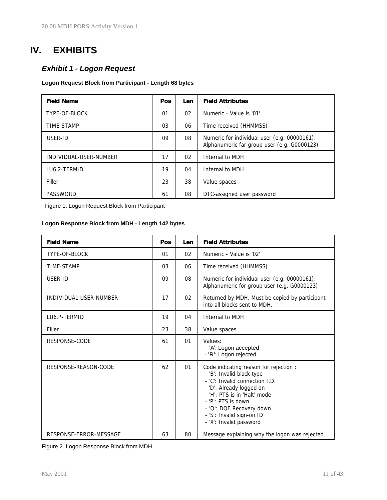# **IV. EXHIBITS**

## *Exhibit 1 - Logon Request*

#### **Logon Request Block from Participant - Length 68 bytes**

| <b>Field Name</b>      | <b>Pos</b> | Len | <b>Field Attributes</b>                                                                     |
|------------------------|------------|-----|---------------------------------------------------------------------------------------------|
| TYPE-OF-BLOCK          | 01         | 02  | Numeric - Value is '01'                                                                     |
| TIME-STAMP             | 03         | 06  | Time received (HHMMSS)                                                                      |
| USER-ID                | 09         | 08  | Numeric for individual user (e.g. 00000161);<br>Alphanumeric far group user (e.g. G0000123) |
| INDIVIDUAL-USER-NUMBER | 17         | 02  | Internal to MDH                                                                             |
| LU6.2-TERMID           | 19         | 04  | Internal to MDH                                                                             |
| Filler                 | 23         | 38  | Value spaces                                                                                |
| PASSWORD               | 61         | 08  | DTC-assigned user password                                                                  |

Figure 1. Logon Request Block from Participant

#### **Logon Response Block from MDH - Length 142 bytes**

| <b>Field Name</b>      | Pos | Len | <b>Field Attributes</b>                                                                                                                                                                                                                                                     |
|------------------------|-----|-----|-----------------------------------------------------------------------------------------------------------------------------------------------------------------------------------------------------------------------------------------------------------------------------|
| TYPE-OF-BLOCK          | 01  | 02  | Numeric - Value is '02'                                                                                                                                                                                                                                                     |
| <b>TIME-STAMP</b>      | 03  | 06  | Time received (HHMMSS)                                                                                                                                                                                                                                                      |
| USER-ID                | 09  | 08  | Numeric for individual user (e.g. 00000161);<br>Alphanumeric for group user (e.g. G0000123)                                                                                                                                                                                 |
| INDIVIDUAL-USER-NUMBER | 17  | 02  | Returned by MDH. Must be copied by participant<br>into all blocks sent to MDH.                                                                                                                                                                                              |
| LU6.P-TERMID           | 19  | 04  | Internal to MDH                                                                                                                                                                                                                                                             |
| Filler                 | 23  | 38  | Value spaces                                                                                                                                                                                                                                                                |
| RESPONSE-CODE          | 61  | 01  | Values:<br>- 'A': Logon accepted<br>- 'R': Logon rejected                                                                                                                                                                                                                   |
| RESPONSE-REASON-CODE   | 62  | 01  | Code indicating reason for rejection :<br>- 'B': Invalid black type<br>- 'C': Invalid connection I.D.<br>- 'D': Already logged on<br>- 'H': PTS is in 'Halt' mode<br>- 'P': PTS is down<br>- 'Q': DQF Recovery down<br>- 'S': Invalid sign-on ID<br>- 'X': Invalid password |
| RESPONSE-ERROR-MESSAGE | 63  | 80  | Message explaining why the logon was rejected                                                                                                                                                                                                                               |

Figure 2. Logon Response Block from MDH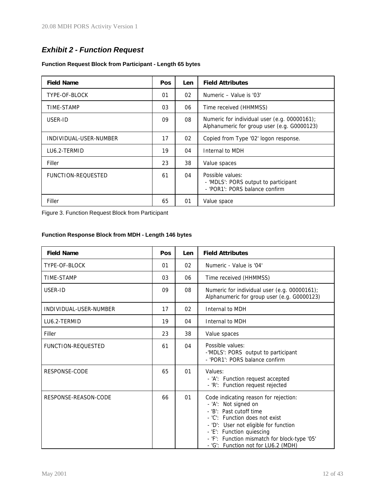## *Exhibit 2 - Function Request*

#### **Function Request Block from Participant - Length 65 bytes**

| <b>Field Name</b>         | Pos | Len | <b>Field Attributes</b>                                                                     |
|---------------------------|-----|-----|---------------------------------------------------------------------------------------------|
| TYPE-OF-BLOCK             | 01  | 02  | Numeric - Value is '03'                                                                     |
| <b>TIME-STAMP</b>         | 03  | 06  | Time received (HHMMSS)                                                                      |
| USER-ID                   | 09  | 08  | Numeric for individual user (e.g. 00000161);<br>Alphanumeric for group user (e.g. G0000123) |
| INDIVIDUAL-USER-NUMBER    | 17  | 02  | Copied from Type '02' logon response.                                                       |
| LU6.2-TERMID              | 19  | 04  | Internal to MDH                                                                             |
| Filler                    | 23  | 38  | Value spaces                                                                                |
| <b>FUNCTION-REQUESTED</b> | 61  | 04  | Possible values:<br>- 'MDLS': PORS output to participant<br>- 'POR1': PORS balance confirm  |
| Filler                    | 65  | 01  | Value space                                                                                 |

Figure 3. Function Request Block from Participant

## **Function Response Block from MDH - Length 146 bytes**

| <b>Field Name</b>         | Pos | Len | <b>Field Attributes</b>                                                                                                                                                                                                                                                                 |
|---------------------------|-----|-----|-----------------------------------------------------------------------------------------------------------------------------------------------------------------------------------------------------------------------------------------------------------------------------------------|
| TYPE-OF-BLOCK             | 01  | 02  | Numeric - Value is '04'                                                                                                                                                                                                                                                                 |
| <b>TIME-STAMP</b>         | 03  | 06  | Time received (HHMMSS)                                                                                                                                                                                                                                                                  |
| USER-ID                   | 09  | 08  | Numeric for individual user (e.g. 00000161);<br>Alphanumeric for group user (e.g. G0000123)                                                                                                                                                                                             |
| INDIVIDUAL-USER-NUMBER    | 17  | 02  | Internal to MDH                                                                                                                                                                                                                                                                         |
| LU6.2-TERMID              | 19  | 04  | Internal to MDH                                                                                                                                                                                                                                                                         |
| Filler                    | 23  | 38  | Value spaces                                                                                                                                                                                                                                                                            |
| <b>FUNCTION-REQUESTED</b> | 61  | 04  | Possible values:<br>-'MDLS': PORS output to participant<br>- 'POR1': PORS balance confirm                                                                                                                                                                                               |
| RESPONSE-CODE             | 65  | 01  | Values:<br>- 'A': Function request accepted<br>- 'R': Function request rejected                                                                                                                                                                                                         |
| RESPONSE-REASON-CODE      | 66  | 01  | Code indicating reason for rejection:<br>- 'A': Not signed on<br>- 'B': Past cutoff time<br>- 'C': Function does not exist<br>- 'D': User not eligible for function<br>- 'E': Function quiescing<br>- 'F': Function mismatch for block-type '05'<br>- 'G': Function not for LU6.2 (MDH) |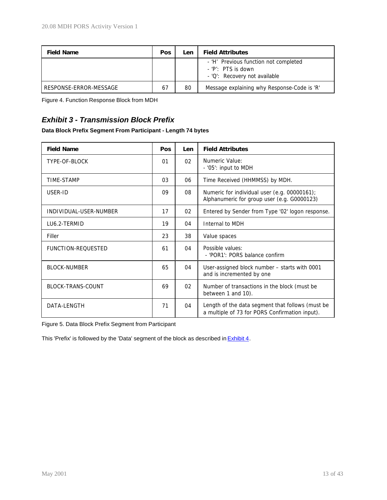| <b>Field Name</b>      | <b>Pos</b> | Len | <b>Field Attributes</b>                                                                        |
|------------------------|------------|-----|------------------------------------------------------------------------------------------------|
|                        |            |     | - 'H' Previous function not completed<br>$-$ 'P': PTS is down<br>- 'Q': Recovery not available |
| RESPONSE-ERROR-MESSAGE | 67         | 80  | Message explaining why Response-Code is 'R'                                                    |

Figure 4. Function Response Block from MDH

## *Exhibit 3 - Transmission Block Prefix*

#### **Data Block Prefix Segment From Participant - Length 74 bytes**

| <b>Field Name</b>         | Pos | Len | <b>Field Attributes</b>                                                                            |
|---------------------------|-----|-----|----------------------------------------------------------------------------------------------------|
| TYPE-OF-BLOCK             | 01  | 02  | Numeric Value:<br>- '05': input to MDH                                                             |
| TIME-STAMP                | 03  | 06  | Time Received (HHMMSS) by MDH.                                                                     |
| USER-ID                   | 09  | 08  | Numeric for individual user (e.g. 00000161);<br>Alphanumeric for group user (e.g. G0000123)        |
| INDIVIDUAL-USER-NUMBER    | 17  | 02  | Entered by Sender from Type '02' logon response.                                                   |
| LU6.2-TERMID              | 19  | 04  | Internal to MDH                                                                                    |
| Filler                    | 23  | 38  | Value spaces                                                                                       |
| <b>FUNCTION-REQUESTED</b> | 61  | 04  | Possible values:<br>- 'POR1': PORS balance confirm                                                 |
| <b>BLOCK-NUMBER</b>       | 65  | 04  | User-assigned block number - starts with 0001<br>and is incremented by one                         |
| <b>BLOCK-TRANS-COUNT</b>  | 69  | 02  | Number of transactions in the block (must be<br>between 1 and 10).                                 |
| DATA-LENGTH               | 71  | 04  | Length of the data segment that follows (must be<br>a multiple of 73 for PORS Confirmation input). |

Figure 5. Data Block Prefix Segment from Participant

This 'Prefix' is followed by the 'Data' segment of the block as described in **Exhibit 4**.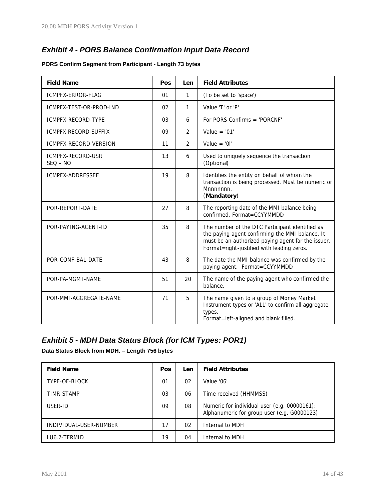## *Exhibit 4 - PORS Balance Confirmation Input Data Record*

#### **PORS Confirm Segment from Participant - Length 73 bytes**

| <b>Field Name</b>               | Pos | Len            | <b>Field Attributes</b>                                                                                                                                                                                |
|---------------------------------|-----|----------------|--------------------------------------------------------------------------------------------------------------------------------------------------------------------------------------------------------|
| ICMPFX-ERROR-FLAG               | 01  | 1              | (To be set to 'space')                                                                                                                                                                                 |
| ICMPFX-TEST-OR-PROD-IND         | 02  | 1              | Value 'T' or 'P'                                                                                                                                                                                       |
| ICMPFX-RECORD-TYPE              | 03  | 6              | For PORS Confirms = 'PORCNF'                                                                                                                                                                           |
| ICMPFX-RECORD-SUFFIX            | 09  | 2              | Value = $'01'$                                                                                                                                                                                         |
| ICMPFX-RECORD-VERSION           | 11  | $\overline{2}$ | Value = ' $0$ l'                                                                                                                                                                                       |
| ICMPFX-RECORD-USR<br>$SEQ - NO$ | 13  | 6              | Used to uniquely sequence the transaction<br>(Optional)                                                                                                                                                |
| ICMPFX-ADDRESSEE                | 19  | 8              | Identifies the entity on behalf of whom the<br>transaction is being processed. Must be numeric or<br>Mnnnnnn.<br>(Mandatory)                                                                           |
| POR-REPORT-DATE                 | 27  | 8              | The reporting date of the MMI balance being<br>confirmed. Format=CCYYMMDD                                                                                                                              |
| POR-PAYING-AGENT-ID             | 35  | 8              | The number of the DTC Participant identified as<br>the paying agent confirming the MMI balance. It<br>must be an authorized paying agent far the issuer.<br>Format=right-justified with leading zeros. |
| POR-CONF-BAL-DATE               | 43  | 8              | The date the MMI balance was confirmed by the<br>paying agent. Format=CCYYMMDD                                                                                                                         |
| POR-PA-MGMT-NAME                | 51  | 20             | The name of the paying agent who confirmed the<br>balance.                                                                                                                                             |
| POR-MMI-AGGREGATE-NAME          | 71  | 5              | The name given to a group of Money Market<br>Instrument types or 'ALL' to confirm all aggregate<br>types.<br>Format=left-aligned and blank filled.                                                     |

## *Exhibit 5 - MDH Data Status Block (for ICM Types: POR1)*

**Data Status Block from MDH. – Length 756 bytes**

| <b>Field Name</b>      | <b>Pos</b> | Len | <b>Field Attributes</b>                                                                     |
|------------------------|------------|-----|---------------------------------------------------------------------------------------------|
| TYPE-OF-BLOCK          | 01         | 02  | Value '06'                                                                                  |
| TIMR-STAMP             | 03         | 06  | Time received (HHMMSS)                                                                      |
| USER-ID                | 09         | 08  | Numeric for individual user (e.g. 00000161);<br>Alphanumeric for group user (e.g. G0000123) |
| INDIVIDUAL-USER-NUMBER | 17         | 02  | Internal to MDH                                                                             |
| LU6.2-TERMID           | 19         | 04  | Internal to MDH                                                                             |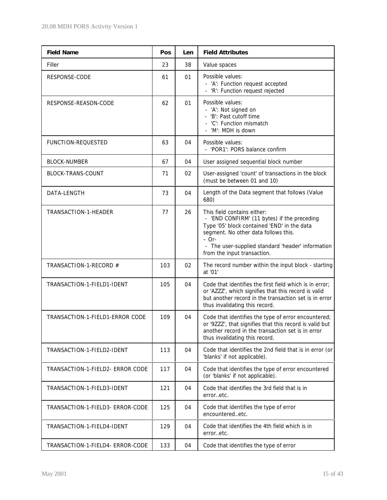| <b>Field Name</b>                | Pos | Len | <b>Field Attributes</b>                                                                                                                                                                                                                                          |
|----------------------------------|-----|-----|------------------------------------------------------------------------------------------------------------------------------------------------------------------------------------------------------------------------------------------------------------------|
| Filler                           | 23  | 38  | Value spaces                                                                                                                                                                                                                                                     |
| RESPONSE-CODE                    | 61  | 01  | Possible values:<br>- 'A': Function request accepted<br>- 'R': Function request rejected                                                                                                                                                                         |
| RESPONSE-REASON-CODE             | 62  | 01  | Possible values:<br>- 'A': Not signed on<br>- 'B': Past cutoff time<br>- 'C': Function mismatch<br>- 'M': MDH is down                                                                                                                                            |
| <b>FUNCTION-REQUESTED</b>        | 63  | 04  | Possible values:<br>- 'POR1': PORS balance confirm                                                                                                                                                                                                               |
| <b>BLOCK-NUMBER</b>              | 67  | 04  | User assigned sequential block number                                                                                                                                                                                                                            |
| <b>BLOCK-TRANS-COUNT</b>         | 71  | 02  | User-assigned 'count' of transactions in the block<br>(must be between 01 and 10)                                                                                                                                                                                |
| DATA-LENGTH                      | 73  | 04  | Length of the Data segment that follows (Value<br>680)                                                                                                                                                                                                           |
| TRANSACTION-1-HEADER             | 77  | 26  | This field contains either:<br>- 'END CONFIRM' (11 bytes) if the preceding<br>Type '05' block contained 'END' in the data<br>segment. No other data follows this.<br>$-$ Or-<br>- The user-supplied standard 'header' information<br>from the input transaction. |
| TRANSACTION-1-RECORD #           | 103 | 02  | The record number within the input block - starting<br>at '01'                                                                                                                                                                                                   |
| TRANSACTION-1-FIELD1-IDENT       | 105 | 04  | Code that identifies the first field which is in error;<br>or 'AZZZ', which signifies that this record is valid<br>but another record in the transaction set is in error<br>thus invalidating this record.                                                       |
| TRANSACTION-1-FIELD1-ERROR CODE  | 109 | 04  | Code that identifies the type of error encountered;<br>or '9ZZZ', that signifies that this record is valid but<br>another record in the transaction set is in error<br>thus invalidating this record.                                                            |
| TRANSACTION-1-FIELD2-IDENT       | 113 | 04  | Code that identifies the 2nd field that is in error (or<br>'blanks' if not applicable).                                                                                                                                                                          |
| TRANSACTION-1-FIELD2- ERROR CODE | 117 | 04  | Code that identifies the type of error encountered<br>(or 'blanks' if not applicable).                                                                                                                                                                           |
| TRANSACTION-1-FIELD3-IDENT       | 121 | 04  | Code that identifies the 3rd field that is in<br>erroretc.                                                                                                                                                                                                       |
| TRANSACTION-1-FIELD3- ERROR-CODE | 125 | 04  | Code that identifies the type of error<br>encounteredetc.                                                                                                                                                                                                        |
| TRANSACTION-1-FIELD4-IDENT       | 129 | 04  | Code that identifies the 4th field which is in<br>erroretc.                                                                                                                                                                                                      |
| TRANSACTION-1-FIELD4- ERROR-CODE | 133 | 04  | Code that identifies the type of error                                                                                                                                                                                                                           |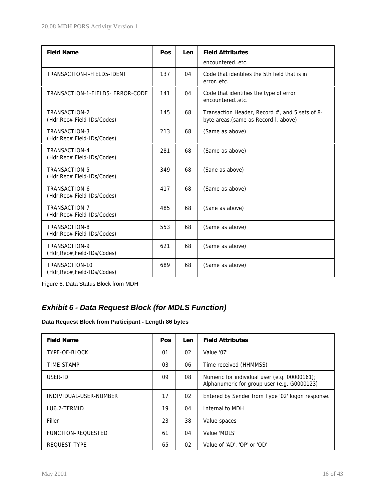| <b>Field Name</b>                              | Pos | Len | <b>Field Attributes</b>                                                                |
|------------------------------------------------|-----|-----|----------------------------------------------------------------------------------------|
|                                                |     |     | encounteredetc.                                                                        |
| TRANSACTION-I-FIELD5-IDENT                     | 137 | 04  | Code that identifies the 5th field that is in<br>erroretc.                             |
| TRANSACTION-1-FIELD5- ERROR-CODE               | 141 | 04  | Code that identifies the type of error<br>encounteredetc.                              |
| TRANSACTION-2<br>(Hdr, Rec#, Field-IDs/Codes)  | 145 | 68  | Transaction Header, Record #, and 5 sets of 8-<br>byte areas.(same as Record-I, above) |
| TRANSACTION-3<br>(Hdr, Rec#, Field-IDs/Codes)  | 213 | 68  | (Same as above)                                                                        |
| TRANSACTION-4<br>(Hdr, Rec#, Field-IDs/Codes)  | 281 | 68  | (Same as above)                                                                        |
| TRANSACTION-5<br>(Hdr, Rec#, Field-IDs/Codes)  | 349 | 68  | (Sane as above)                                                                        |
| TRANSACTION-6<br>(Hdr, Rec#, Field-IDs/Codes)  | 417 | 68  | (Same as above)                                                                        |
| TRANSACTION-7<br>(Hdr, Rec#, Field-IDs/Codes)  | 485 | 68  | (Sane as above)                                                                        |
| TRANSACTION-8<br>(Hdr, Rec#, Field-IDs/Codes)  | 553 | 68  | (Same as above)                                                                        |
| TRANSACTION-9<br>(Hdr, Rec#, Field-IDs/Codes)  | 621 | 68  | (Same as above)                                                                        |
| TRANSACTION-10<br>(Hdr, Rec#, Field-IDs/Codes) | 689 | 68  | (Same as above)                                                                        |

Figure 6. Data Status Block from MDH

## *Exhibit 6 - Data Request Block (for MDLS Function)*

## **Data Request Block from Participant - Length 86 bytes**

| <b>Field Name</b>         | Pos | Len | <b>Field Attributes</b>                                                                     |
|---------------------------|-----|-----|---------------------------------------------------------------------------------------------|
| TYPE-OF-BLOCK             | 01  | 02  | Value '07'                                                                                  |
| TIME-STAMP                | 03  | 06  | Time received (HHMMSS)                                                                      |
| USER-ID                   | 09  | 08  | Numeric for individual user (e.g. 00000161);<br>Alphanumeric for group user (e.g. G0000123) |
| INDIVIDUAL-USER-NUMBER    | 17  | 02  | Entered by Sender from Type '02' logon response.                                            |
| LU6.2-TERMID              | 19  | 04  | Internal to MDH                                                                             |
| Filler                    | 23  | 38  | Value spaces                                                                                |
| <b>FUNCTION-REQUESTED</b> | 61  | 04  | Value 'MDLS'                                                                                |
| REQUEST-TYPE              | 65  | 02  | Value of 'AD', 'OP' or 'OD'                                                                 |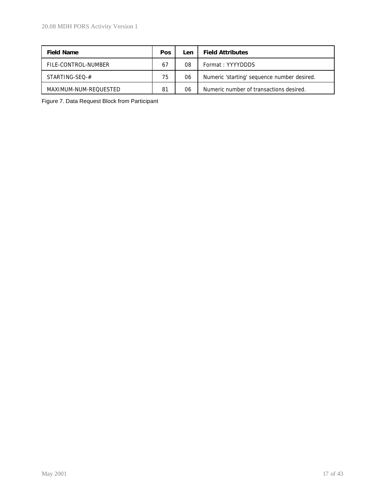| <b>Field Name</b>     | <b>Pos</b> | Len | <b>Field Attributes</b>                     |
|-----------------------|------------|-----|---------------------------------------------|
| FILE-CONTROL-NUMBER   | 67         | 08  | Format: YYYYDDDS                            |
| STARTING-SEO-#        | 75         | 06  | Numeric 'starting' sequence number desired. |
| MAXIMUM-NUM-REOUESTED | 81         | 06  | Numeric number of transactions desired.     |

Figure 7. Data Request Block from Participant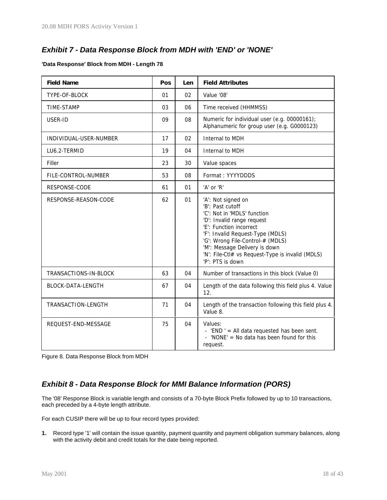## *Exhibit 7 - Data Response Block from MDH with 'END' or 'NONE'*

#### **'Data Response' Block from MDH - Length 78**

| <b>Field Name</b>        | Pos | Len | <b>Field Attributes</b>                                                                                                                                                                                                                                                                                         |
|--------------------------|-----|-----|-----------------------------------------------------------------------------------------------------------------------------------------------------------------------------------------------------------------------------------------------------------------------------------------------------------------|
| TYPE-OF-BLOCK            | 01  | 02  | Value '08'                                                                                                                                                                                                                                                                                                      |
| TIME-STAMP               | 03  | 06  | Time received (HHMMSS)                                                                                                                                                                                                                                                                                          |
| USER-ID                  | 09  | 08  | Numeric for individual user (e.g. 00000161);<br>Alphanumeric for group user (e.g. G0000123)                                                                                                                                                                                                                     |
| INDIVIDUAL-USER-NUMBER   | 17  | 02  | Internal to MDH                                                                                                                                                                                                                                                                                                 |
| LU6.2-TERMID             | 19  | 04  | Internal to MDH                                                                                                                                                                                                                                                                                                 |
| Filler                   | 23  | 30  | Value spaces                                                                                                                                                                                                                                                                                                    |
| FILE-CONTROL-NUMBER      | 53  | 08  | Format: YYYYDDDS                                                                                                                                                                                                                                                                                                |
| RESPONSE-CODE            | 61  | 01  | 'A' or 'R'                                                                                                                                                                                                                                                                                                      |
| RESPONSE-REASON-CODE     | 62  | 01  | 'A': Not signed on<br>'B': Past cutoff<br>'C': Not in 'MDLS' function<br>'D': Invalid range request<br>'E': Function incorrect<br>'F': Invalid Request-Type (MDLS)<br>'G': Wrong File-Control-# (MDLS)<br>'M': Message Delivery is down<br>'N': File-Ctl# vs Request-Type is invalid (MDLS)<br>'P': PTS is down |
| TRANSACTIONS-IN-BLOCK    | 63  | 04  | Number of transactions in this block (Value 0)                                                                                                                                                                                                                                                                  |
| <b>BLOCK-DATA-LENGTH</b> | 67  | 04  | Length of the data following this field plus 4. Value<br>12.                                                                                                                                                                                                                                                    |
| TRANSACTION-LENGTH       | 71  | 04  | Length of the transaction following this field plus 4.<br>Value 8.                                                                                                                                                                                                                                              |
| REQUEST-END-MESSAGE      | 75  | 04  | Values:<br>- 'END ' = All data requested has been sent.<br>'NONE' = No data has been found for this<br>request.                                                                                                                                                                                                 |

Figure 8. Data Response Block from MDH

## *Exhibit 8 - Data Response Block for MMI Balance Information (PORS)*

The '08' Response Block is variable length and consists of a 70-byte Block Prefix followed by up to 10 transactions, each preceded by a 4-byte length attribute.

For each CUSIP there will be up to four record types provided:

**1.** Record type '1' will contain the issue quantity, payment quantity and payment obligation summary balances, along with the activity debit and credit totals for the date being reported.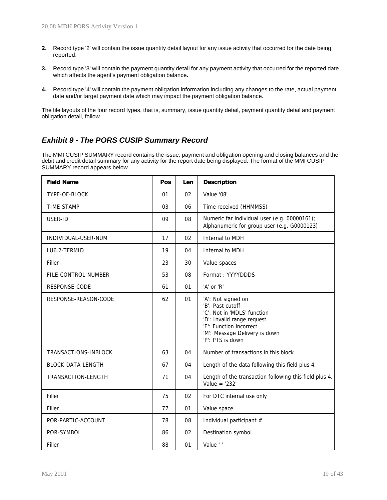- **2.** Record type '2' will contain the issue quantity detail layout for any issue activity that occurred for the date being reported.
- **3.** Record type '3' will contain the payment quantity detail for any payment activity that occurred for the reported date which affects the agent's payment obligation balance**.**
- **4.** Record type '4' will contain the payment obligation information including any changes to the rate, actual payment date and/or target payment date which may impact the payment obligation balance.

The file layouts of the four record types, that is, summary, issue quantity detail, payment quantity detail and payment obligation detail, follow.

## *Exhibit 9 - The PORS CUSIP Summary Record*

The MMI CUSIP SUMMARY record contains the issue, payment and obligation opening and closing balances and the debit and credit detail summary for any activity for the report date being displayed. The format of the MMI CUSIP SUMMARY record appears below.

| <b>Field Name</b>    | Pos | Len            | <b>Description</b>                                                                                                                                                                  |
|----------------------|-----|----------------|-------------------------------------------------------------------------------------------------------------------------------------------------------------------------------------|
| TYPE-OF-BLOCK        | 01  | 0 <sub>2</sub> | Value '08'                                                                                                                                                                          |
| TIME-STAMP           | 03  | 06             | Time received (HHMMSS)                                                                                                                                                              |
| USER-ID              | 09  | 08             | Numeric far individual user (e.g. 00000161);<br>Alphanumeric for group user (e.g. G0000123)                                                                                         |
| INDIVIDUAL-USER-NUM  | 17  | 02             | Internal to MDH                                                                                                                                                                     |
| LU6.2-TERMID         | 19  | 04             | Internal to MDH                                                                                                                                                                     |
| Filler               | 23  | 30             | Value spaces                                                                                                                                                                        |
| FILE-CONTROL-NUMBER  | 53  | 08             | Format: YYYYDDDS                                                                                                                                                                    |
| RESPONSE-CODE        | 61  | 01             | 'A' or 'R'                                                                                                                                                                          |
| RESPONSE-REASON-CODE | 62  | 01             | 'A': Not signed on<br>'B': Past cutoff<br>'C': Not in 'MDLS' function<br>'D': Invalid range request<br>'E': Function incorrect<br>'M': Message Delivery is down<br>'P': PTS is down |
| TRANSACTIONS-INBLOCK | 63  | 04             | Number of transactions in this block                                                                                                                                                |
| BLOCK-DATA-LENGTH    | 67  | 04             | Length of the data following this field plus 4.                                                                                                                                     |
| TRANSACTION-LENGTH   | 71  | 04             | Length of the transaction following this field plus 4.<br>Value = $'232'$                                                                                                           |
| Filler               | 75  | 02             | For DTC internal use only                                                                                                                                                           |
| Filler               | 77  | 01             | Value space                                                                                                                                                                         |
| POR-PARTIC-ACCOUNT   | 78  | 08             | Individual participant #                                                                                                                                                            |
| POR-SYMBOL           | 86  | 02             | Destination symbol                                                                                                                                                                  |
| Filler               | 88  | 01             | Value '-'                                                                                                                                                                           |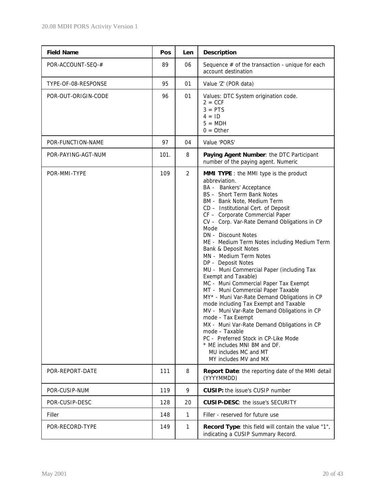| <b>Field Name</b>   | Pos  | Len            | <b>Description</b>                                                                                                                                                                                                                                                                                                                                                                                                                                                                                                                                                                                                                                                                                                                                                                                                                                                                                                                                  |
|---------------------|------|----------------|-----------------------------------------------------------------------------------------------------------------------------------------------------------------------------------------------------------------------------------------------------------------------------------------------------------------------------------------------------------------------------------------------------------------------------------------------------------------------------------------------------------------------------------------------------------------------------------------------------------------------------------------------------------------------------------------------------------------------------------------------------------------------------------------------------------------------------------------------------------------------------------------------------------------------------------------------------|
| POR-ACCOUNT-SEQ-#   | 89   | 06             | Sequence $#$ of the transaction - unique for each<br>account destination                                                                                                                                                                                                                                                                                                                                                                                                                                                                                                                                                                                                                                                                                                                                                                                                                                                                            |
| TYPE-OF-08-RESPONSE | 95   | 01             | Value 'Z' (POR data)                                                                                                                                                                                                                                                                                                                                                                                                                                                                                                                                                                                                                                                                                                                                                                                                                                                                                                                                |
| POR-OUT-ORIGIN-CODE | 96   | 01             | Values: DTC System origination code.<br>$2 = CCF$<br>$3 = PTS$<br>$4 = 1D$<br>$5 = MDH$<br>$0 =$ Other                                                                                                                                                                                                                                                                                                                                                                                                                                                                                                                                                                                                                                                                                                                                                                                                                                              |
| POR-FUNCTION-NAME   | 97   | 04             | Value 'PORS'                                                                                                                                                                                                                                                                                                                                                                                                                                                                                                                                                                                                                                                                                                                                                                                                                                                                                                                                        |
| POR-PAYING-AGT-NUM  | 101. | 8              | Paying Agent Number: the DTC Participant<br>number of the paying agent. Numeric                                                                                                                                                                                                                                                                                                                                                                                                                                                                                                                                                                                                                                                                                                                                                                                                                                                                     |
| POR-MMI-TYPE        | 109  | $\overline{2}$ | <b>MMI TYPE</b> : the MMI type is the product<br>abbreviation.<br>BA - Bankers' Acceptance<br>BS - Short Term Bank Notes<br>BM - Bank Note, Medium Term<br>CD - Institutional Cert. of Deposit<br>CF - Corporate Commercial Paper<br>CV - Corp. Var-Rate Demand Obligations in CP<br>Mode<br>DN - Discount Notes<br>ME - Medium Term Notes including Medium Term<br>Bank & Deposit Notes<br>MN - Medium Term Notes<br>DP - Deposit Notes<br>MU - Muni Commercial Paper (including Tax<br>Exempt and Taxable)<br>MC - Muni Commercial Paper Tax Exempt<br>MT - Muni Commercial Paper Taxable<br>MY* - Muni Var-Rate Demand Obligations in CP<br>mode including Tax Exempt and Taxable<br>MV - Muni Var-Rate Demand Obligations in CP<br>mode - Tax Exempt<br>MX - Muni Var-Rate Demand Obligations in CP<br>mode - Taxable<br>PC - Preferred Stock in CP-Like Mode<br>* ME includes MNI BM and DF.<br>MU includes MC and MT<br>MY includes MV and MX |
| POR-REPORT-DATE     | 111  | 8              | Report Date: the reporting date of the MMI detail<br>(YYYYMMDD)                                                                                                                                                                                                                                                                                                                                                                                                                                                                                                                                                                                                                                                                                                                                                                                                                                                                                     |
| POR-CUSIP-NUM       | 119  | 9              | <b>CUSIP:</b> the issue's CUSIP number                                                                                                                                                                                                                                                                                                                                                                                                                                                                                                                                                                                                                                                                                                                                                                                                                                                                                                              |
| POR-CUSIP-DESC      | 128  | 20             | <b>CUSIP-DESC: the issue's SECURITY</b>                                                                                                                                                                                                                                                                                                                                                                                                                                                                                                                                                                                                                                                                                                                                                                                                                                                                                                             |
| Filler              | 148  | $\mathbf{1}$   | Filler - reserved for future use                                                                                                                                                                                                                                                                                                                                                                                                                                                                                                                                                                                                                                                                                                                                                                                                                                                                                                                    |
| POR-RECORD-TYPE     | 149  | 1              | Record Type: this field will contain the value "1",<br>indicating a CUSIP Summary Record.                                                                                                                                                                                                                                                                                                                                                                                                                                                                                                                                                                                                                                                                                                                                                                                                                                                           |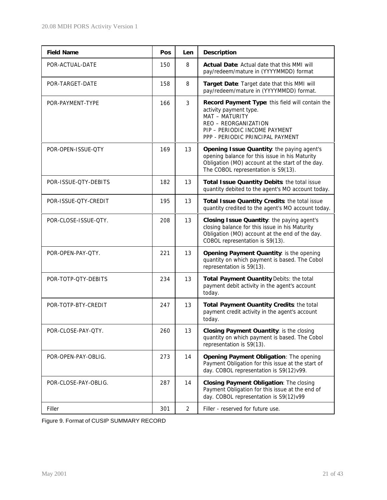| <b>Field Name</b>    | Pos | <b>Len</b>     | <b>Description</b>                                                                                                                                                                        |
|----------------------|-----|----------------|-------------------------------------------------------------------------------------------------------------------------------------------------------------------------------------------|
| POR-ACTUAL-DATE      | 150 | 8              | Actual Date: Actual date that this MMI will<br>pay/redeem/mature in (YYYYMMDD) format                                                                                                     |
| POR-TARGET-DATE      | 158 | 8              | Target Date: Target date that this MMI will<br>pay/redeem/mature in (YYYYMMDD) format.                                                                                                    |
| POR-PAYMENT-TYPE     | 166 | 3              | Record Payment Type: this field will contain the<br>activity payment type.<br>MAT - MATURITY<br>REO - REORGANIZATION<br>PIP - PERIODIC INCOME PAYMENT<br>PPP - PERIODIC PRINCIPAL PAYMENT |
| POR-OPEN-ISSUE-QTY   | 169 | 13             | Opening Issue Quantity: the paying agent's<br>opening balance for this issue in his Maturity<br>Obligation (MO) account at the start of the day.<br>The COBOL representation is S9(13).   |
| POR-ISSUE-QTY-DEBITS | 182 | 13             | Total Issue Quantity Debits: the total issue<br>quantity debited to the agent's MO account today.                                                                                         |
| POR-ISSUE-QTY-CREDIT | 195 | 13             | Total Issue Quantity Credits: the total issue<br>quantity credited to the agent's MO account today.                                                                                       |
| POR-CLOSE-ISSUE-QTY. | 208 | 13             | Closing Issue Quantity: the paying agent's<br>closing balance for this issue in his Maturity<br>Obligation (MO) account at the end of the day.<br>COBOL representation is S9(13).         |
| POR-OPEN-PAY-QTY.    | 221 | 13             | Opening Payment Quantity: is the opening<br>quantity on which payment is based. The Cobol<br>representation is 59(13).                                                                    |
| POR-TOTP-QTY-DEBITS  | 234 | 13             | Total Payment Ouantity Debits: the total<br>payment debit activity in the agent's account<br>today.                                                                                       |
| POR-TOTP-BTY-CREDIT  | 247 | 13             | Total Payment Ouantity Credits: the total<br>payment credit activity in the agent's account<br>today.                                                                                     |
| POR-CLOSE-PAY-QTY.   | 260 | 13             | Closing Payment Ouantity: is the closing<br>quantity on which payment is based. The Cobol<br>representation is S9(13).                                                                    |
| POR-OPEN-PAY-OBLIG.  | 273 | 14             | Opening Payment Obligation: The opening<br>Payment Obligation for this issue at the start of<br>day. COBOL representation is S9(12)v99.                                                   |
| POR-CLOSE-PAY-OBLIG. | 287 | 14             | Closing Payment Obligation: The closing<br>Payment Obligation for this issue at the end of<br>day. COBOL representation is S9(12)v99                                                      |
| Filler               | 301 | $\overline{2}$ | Filler - reserved for future use.                                                                                                                                                         |

Figure 9. Format of CUSIP SUMMARY RECORD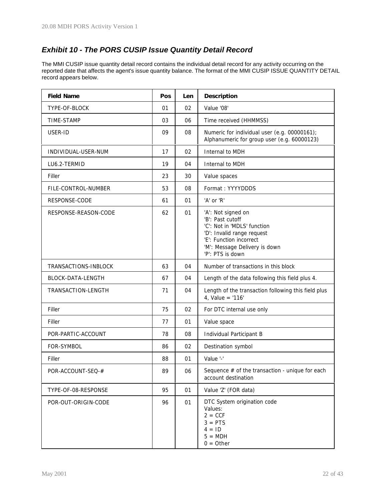## *Exhibit 10 - The PORS CUSIP Issue Quantity Detail Record*

The MMI CUSIP issue quantity detail record contains the individual detail record for any activity occurring on the reported date that affects the agent's issue quantity balance. The format of the MMI CUSIP ISSUE QUANTITY DETAIL record appears below.

| <b>Field Name</b>    | Pos | Len | <b>Description</b>                                                                                                                                                                  |
|----------------------|-----|-----|-------------------------------------------------------------------------------------------------------------------------------------------------------------------------------------|
| TYPE-OF-BLOCK        | 01  | 02  | Value '08'                                                                                                                                                                          |
| TIME-STAMP           | 03  | 06  | Time received (HHMMSS)                                                                                                                                                              |
| USER-ID              | 09  | 08  | Numeric for individual user (e.g. 00000161);<br>Alphanumeric for group user (e.g. 60000123)                                                                                         |
| INDIVIDUAL-USER-NUM  | 17  | 02  | Internal to MDH                                                                                                                                                                     |
| LU6.2-TERMID         | 19  | 04  | Internal to MDH                                                                                                                                                                     |
| Filler               | 23  | 30  | Value spaces                                                                                                                                                                        |
| FILE-CONTROL-NUMBER  | 53  | 08  | Format: YYYYDDDS                                                                                                                                                                    |
| RESPONSE-CODE        | 61  | 01  | 'A' or 'R'                                                                                                                                                                          |
| RESPONSE-REASON-CODE | 62  | 01  | 'A': Not signed on<br>'B': Past cutoff<br>'C': Not in 'MDLS' function<br>'D': Invalid range request<br>'E': Function incorrect<br>'M': Message Delivery is down<br>'P': PTS is down |
| TRANSACTIONS-INBLOCK | 63  | 04  | Number of transactions in this block                                                                                                                                                |
| BLOCK-DATA-LENGTH    | 67  | 04  | Length of the data following this field plus 4.                                                                                                                                     |
| TRANSACTION-LENGTH   | 71  | 04  | Length of the transaction following this field plus<br>4, Value = '116'                                                                                                             |
| Filler               | 75  | 02  | For DTC internal use only                                                                                                                                                           |
| Filler               | 77  | 01  | Value space                                                                                                                                                                         |
| POR-PARTIC-ACCOUNT   | 78  | 08  | Individual Participant B                                                                                                                                                            |
| FOR-SYMBOL           | 86  | 02  | Destination symbol                                                                                                                                                                  |
| Filler               | 88  | 01  | Value '-'                                                                                                                                                                           |
| POR-ACCOUNT-SEQ-#    | 89  | 06  | Sequence $#$ of the transaction - unique for each<br>account destination                                                                                                            |
| TYPE-OF-08-RESPONSE  | 95  | 01  | Value 'Z' (FOR data)                                                                                                                                                                |
| POR-OUT-ORIGIN-CODE  | 96  | 01  | DTC System origination code<br>Values:<br>$2 = CCF$<br>$3 = PTS$<br>$4 = 1D$<br>$5 = MDH$<br>$0 = 0$ ther                                                                           |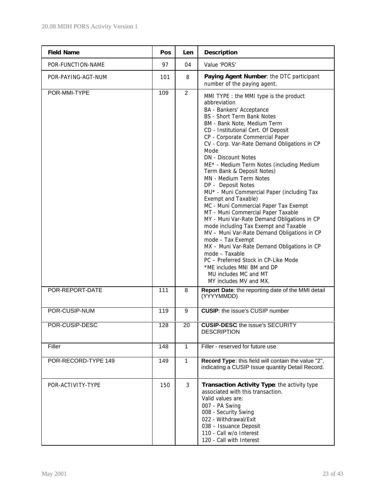| <b>Field Name</b>   | Pos | Len            | <b>Description</b>                                                                                                                                                                                                                                                                                                                                                                                                                                                                                                                                                                                                                                                                                                                                                                                                                                                                                                                                   |
|---------------------|-----|----------------|------------------------------------------------------------------------------------------------------------------------------------------------------------------------------------------------------------------------------------------------------------------------------------------------------------------------------------------------------------------------------------------------------------------------------------------------------------------------------------------------------------------------------------------------------------------------------------------------------------------------------------------------------------------------------------------------------------------------------------------------------------------------------------------------------------------------------------------------------------------------------------------------------------------------------------------------------|
| POR-FUNCTION-NAME   | 97  | 04             | Value 'PORS'                                                                                                                                                                                                                                                                                                                                                                                                                                                                                                                                                                                                                                                                                                                                                                                                                                                                                                                                         |
| POR-PAYING-AGT-NUM  | 101 | 8              | Paying Agent Number: the DTC participant<br>number of the paying agent.                                                                                                                                                                                                                                                                                                                                                                                                                                                                                                                                                                                                                                                                                                                                                                                                                                                                              |
| POR-MMI-TYPE        | 109 | $\overline{2}$ | MMI TYPE : the MMI type is the product<br>abbreviation<br>BA - Bankers' Acceptance<br>BS - Short Term Bank Notes<br>BM - Bank Note, Medium Term<br>CD - Institutional Cert. Of Deposit<br>CP - Corporate Commercial Paper<br>CV - Corp. Var-Rate Demand Obligations in CP<br>Mode<br><b>DN</b> - Discount Notes<br>ME* - Medium Term Notes (including Medium<br>Term Bank & Deposit Notes)<br>MN - Medium Term Notes<br>DP - Deposit Notes<br>MU* - Muni Commercial Paper (including Tax<br>Exempt and Taxable)<br>MC - Muni Commercial Paper Tax Exempt<br>MT - Muni Commercial Paper Taxable<br>MY - Muni Var-Rate Demand Obligations in CP<br>mode including Tax Exempt and Taxable<br>MV - Muni Var-Rate Demand Obligations in CP<br>mode - Tax Exempt<br>MX - Muni Var-Rate Demand Obligations in CP<br>mode - Taxable<br>PC - Preferred Stock in CP-Like Mode<br>*ME includes MNI BM and DP<br>MU includes MC and MT<br>MY includes MV and MX. |
| POR-REPORT-DATE     | 111 | 8              | Report Date: the reporting date of the MMI detail<br>(YYYYMMDD)                                                                                                                                                                                                                                                                                                                                                                                                                                                                                                                                                                                                                                                                                                                                                                                                                                                                                      |
| POR-CUSIP-NUM       | 119 | 9              | <b>CUSIP:</b> the issue's CUSIP number                                                                                                                                                                                                                                                                                                                                                                                                                                                                                                                                                                                                                                                                                                                                                                                                                                                                                                               |
| POR-CUSIP-DESC      | 128 | 20             | <b>CUSIP-DESC</b> the issue's SECURITY<br><b>DESCRIPTION</b>                                                                                                                                                                                                                                                                                                                                                                                                                                                                                                                                                                                                                                                                                                                                                                                                                                                                                         |
| Filler              | 148 | $\mathbf{1}$   | Filler - reserved for future use                                                                                                                                                                                                                                                                                                                                                                                                                                                                                                                                                                                                                                                                                                                                                                                                                                                                                                                     |
| POR-RECORD-TYPE 149 | 149 | $\mathbf{1}$   | Record Type: this field will contain the value "2",<br>indicating a CUSIP Issue quantity Detail Record.                                                                                                                                                                                                                                                                                                                                                                                                                                                                                                                                                                                                                                                                                                                                                                                                                                              |
| POR-ACTIVITY-TYPE   | 150 | 3              | Transaction Activity Type: the activity type<br>associated with this transaction.<br>Valid values are:<br>007 - PA Swing<br>008 - Security Swing<br>022 - Withdrawal/Exit<br>038 - Issuance Deposit<br>110 - Call w/o Interest<br>120 - Call with Interest                                                                                                                                                                                                                                                                                                                                                                                                                                                                                                                                                                                                                                                                                           |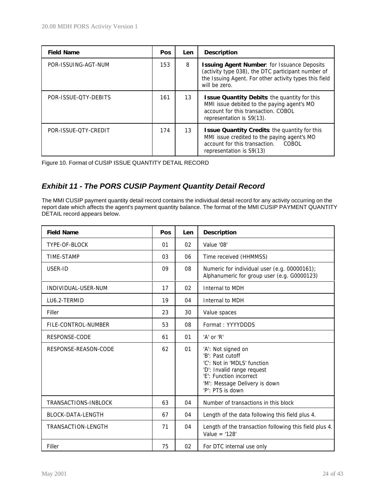| <b>Field Name</b>    | <b>Pos</b> | Len | <b>Description</b>                                                                                                                                                                  |
|----------------------|------------|-----|-------------------------------------------------------------------------------------------------------------------------------------------------------------------------------------|
| POR-ISSUING-AGT-NUM  | 153        | 8   | <b>Issuing Agent Number: for Issuance Deposits</b><br>(activity type 038), the DTC participant number of<br>the Issuing Agent. For other activity types this field<br>will be zero. |
| POR-ISSUE-OTY-DEBITS | 161        | 13  | <b>Issue Quantity Debits: the quantity for this</b><br>MMI issue debited to the paying agent's MO<br>account for this transaction. COBOL<br>representation is S9(13).               |
| POR-ISSUE-OTY-CREDIT | 174        | 13  | Issue Quantity Credits: the quantity for this<br>MMI issue credited to the paying agent's MO<br>account for this transaction. COBOL<br>representation is S9(13)                     |

Figure 10. Format of CUSIP ISSUE QUANTITY DETAIL RECORD

## *Exhibit 11 - The PORS CUSIP Payment Quantity Detail Record*

The MMI CUSIP payment quantity detail record contains the individual detail record for any activity occurring on the report date which affects the agent's payment quantity balance. The format of the MMI CUSIP PAYMENT QUANTITY DETAIL record appears below.

| <b>Field Name</b>    | Pos | Len | <b>Description</b>                                                                                                                                                                  |
|----------------------|-----|-----|-------------------------------------------------------------------------------------------------------------------------------------------------------------------------------------|
| TYPE-OF-BLOCK        | 01  | 02  | Value '08'                                                                                                                                                                          |
| <b>TIME-STAMP</b>    | 03  | 06  | Time received (HHMMSS)                                                                                                                                                              |
| USER-ID              | 09  | 08  | Numeric for individual user (e.g. 00000161);<br>Alphanumeric for group user (e.g. G0000123)                                                                                         |
| INDIVIDUAL-USER-NUM  | 17  | 02  | Internal to MDH                                                                                                                                                                     |
| LU6.2-TERMID         | 19  | 04  | Internal to MDH                                                                                                                                                                     |
| Filler               | 23  | 30  | Value spaces                                                                                                                                                                        |
| FILE-CONTROL-NUMBER  | 53  | 08  | Format: YYYYDDDS                                                                                                                                                                    |
| RESPONSE-CODE        | 61  | 01  | 'A' or 'R'                                                                                                                                                                          |
| RESPONSE-REASON-CODE | 62  | 01  | 'A': Not signed on<br>'B': Past cutoff<br>'C': Not in 'MDLS' function<br>'D': Invalid range request<br>'E': Function incorrect<br>'M': Message Delivery is down<br>'P': PTS is down |
| TRANSACTIONS-INBLOCK | 63  | 04  | Number of transactions in this block                                                                                                                                                |
| BLOCK-DATA-LENGTH    | 67  | 04  | Length of the data following this field plus 4.                                                                                                                                     |
| TRANSACTION-LENGTH   | 71  | 04  | Length of the transaction following this field plus 4.<br>Value = $'128'$                                                                                                           |
| Filler               | 75  | 02  | For DTC internal use only                                                                                                                                                           |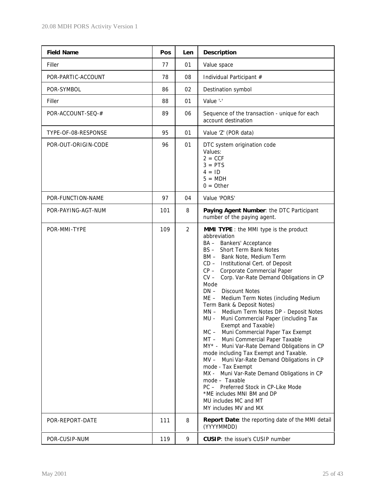| <b>Field Name</b>               | Pos        | Len                 | <b>Description</b>                                                                                                                                                                                                                                                                                                                                                                                                                                                                                                                                                                                                                                                                                                                                                                                                                                                                                                                                                                                                   |
|---------------------------------|------------|---------------------|----------------------------------------------------------------------------------------------------------------------------------------------------------------------------------------------------------------------------------------------------------------------------------------------------------------------------------------------------------------------------------------------------------------------------------------------------------------------------------------------------------------------------------------------------------------------------------------------------------------------------------------------------------------------------------------------------------------------------------------------------------------------------------------------------------------------------------------------------------------------------------------------------------------------------------------------------------------------------------------------------------------------|
| Filler                          | 77         | 01                  | Value space                                                                                                                                                                                                                                                                                                                                                                                                                                                                                                                                                                                                                                                                                                                                                                                                                                                                                                                                                                                                          |
| POR-PARTIC-ACCOUNT              | 78         | 08                  | Individual Participant #                                                                                                                                                                                                                                                                                                                                                                                                                                                                                                                                                                                                                                                                                                                                                                                                                                                                                                                                                                                             |
| POR-SYMBOL                      | 86         | 02                  | Destination symbol                                                                                                                                                                                                                                                                                                                                                                                                                                                                                                                                                                                                                                                                                                                                                                                                                                                                                                                                                                                                   |
| Filler                          | 88         | 01                  | Value '-'                                                                                                                                                                                                                                                                                                                                                                                                                                                                                                                                                                                                                                                                                                                                                                                                                                                                                                                                                                                                            |
| POR-ACCOUNT-SEQ-#               | 89         | 06                  | Sequence of the transaction - unique for each<br>account destination                                                                                                                                                                                                                                                                                                                                                                                                                                                                                                                                                                                                                                                                                                                                                                                                                                                                                                                                                 |
| TYPE-OF-08-RESPONSE             | 95         | 01                  | Value 'Z' (POR data)                                                                                                                                                                                                                                                                                                                                                                                                                                                                                                                                                                                                                                                                                                                                                                                                                                                                                                                                                                                                 |
| POR-OUT-ORIGIN-CODE             | 96         | 01                  | DTC system origination code<br>Values:<br>$2 = CCF$<br>$3 = PTS$<br>$4 = 1D$<br>$5 = MDH$<br>$0 = Other$                                                                                                                                                                                                                                                                                                                                                                                                                                                                                                                                                                                                                                                                                                                                                                                                                                                                                                             |
| POR-FUNCTION-NAME               | 97         | 04                  | Value 'PORS'                                                                                                                                                                                                                                                                                                                                                                                                                                                                                                                                                                                                                                                                                                                                                                                                                                                                                                                                                                                                         |
| POR-PAYING-AGT-NUM              | 101        | 8                   | Paying Agent Number: the DTC Participant<br>number of the paying agent.                                                                                                                                                                                                                                                                                                                                                                                                                                                                                                                                                                                                                                                                                                                                                                                                                                                                                                                                              |
| POR-MMI-TYPE<br>POR-REPORT-DATE | 109<br>111 | $\overline{2}$<br>8 | <b>MMI TYPE</b> : the MMI type is the product<br>abbreviation<br>BA - Bankers' Acceptance<br>BS - Short Term Bank Notes<br>BM - Bank Note, Medium Term<br>CD - Institutional Cert. of Deposit<br>CP - Corporate Commercial Paper<br>CV - Corp. Var-Rate Demand Obligations in CP<br>Mode<br><b>Discount Notes</b><br>$DN -$<br>ME - Medium Term Notes (including Medium<br>Term Bank & Deposit Notes)<br>MN - Medium Term Notes DP - Deposit Notes<br>Muni Commercial Paper (including Tax<br>MU -<br>Exempt and Taxable)<br>MC - Muni Commercial Paper Tax Exempt<br>MT - Muni Commercial Paper Taxable<br>MY* - Muni Var-Rate Demand Obligations in CP<br>mode including Tax Exempt and Taxable.<br>MV - Muni Var-Rate Demand Obligations in CP<br>mode - Tax Exempt<br>MX - Muni Var-Rate Demand Obligations in CP<br>mode - Taxable<br>PC - Preferred Stock in CP-Like Mode<br>*ME includes MNI BM and DP<br>MU includes MC and MT<br>MY includes MV and MX<br>Report Date: the reporting date of the MMI detail |
|                                 |            |                     | (YYYYMMDD)                                                                                                                                                                                                                                                                                                                                                                                                                                                                                                                                                                                                                                                                                                                                                                                                                                                                                                                                                                                                           |
| POR-CUSIP-NUM                   | 119        | 9                   | <b>CUSIP:</b> the issue's CUSIP number                                                                                                                                                                                                                                                                                                                                                                                                                                                                                                                                                                                                                                                                                                                                                                                                                                                                                                                                                                               |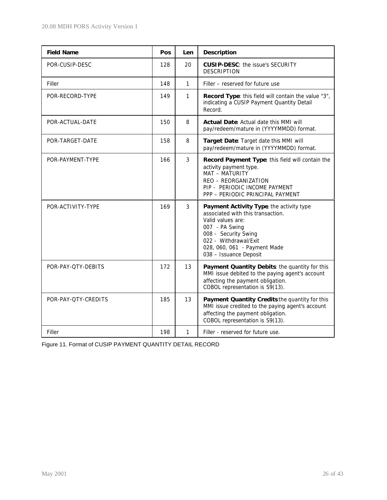| <b>Field Name</b>   | Pos | Len | <b>Description</b>                                                                                                                                                                                                              |  |
|---------------------|-----|-----|---------------------------------------------------------------------------------------------------------------------------------------------------------------------------------------------------------------------------------|--|
| POR-CUSIP-DESC      | 128 | 20  | <b>CUSIP-DESC:</b> the issue's SECURITY<br><b>DESCRIPTION</b>                                                                                                                                                                   |  |
| Filler              | 148 | 1   | Filler – reserved for future use                                                                                                                                                                                                |  |
| POR-RECORD-TYPE     | 149 | 1   | Record Type: this field will contain the value "3",<br>indicating a CUSIP Payment Quantity Detail<br>Record.                                                                                                                    |  |
| POR-ACTUAL-DATE     | 150 | 8   | <b>Actual Date: Actual date this MMI will</b><br>pay/redeem/mature in (YYYYMMDD) format.                                                                                                                                        |  |
| POR-TARGET-DATE     | 158 | 8   | Target Date: Target date this MMI will<br>pay/redeem/mature in (YYYYMMDD) format.                                                                                                                                               |  |
| POR-PAYMENT-TYPE    | 166 | 3   | Record Payment Type: this field will contain the<br>activity payment type.<br>MAT - MATURITY<br>REO - REORGANIZATION<br>PIP - PERIODIC INCOME PAYMENT<br>PPP - PERIODIC PRINCIPAL PAYMENT                                       |  |
| POR-ACTIVITY-TYPE   | 169 | 3   | Payment Activity Type, the activity type<br>associated with this transaction.<br>Valid values are:<br>007 - PA Swing<br>008 - Security Swing<br>022 - Withdrawal/Exit<br>028, 060, 061 - Payment Made<br>038 - Issuance Deposit |  |
| POR-PAY-QTY-DEBITS  | 172 | 13  | Payment Quantity Debits: the quantity for this<br>MMI issue debited to the paying agent's account<br>affecting the payment obligation.<br>COBOL representation is S9(13).                                                       |  |
| POR-PAY-QTY-CREDITS | 185 | 13  | Payment Quantity Credits the quantity for this<br>MMI issue credited to the paying agent's account<br>affecting the payment obligation.<br>COBOL representation is S9(13).                                                      |  |
| Filler              | 198 | 1   | Filler - reserved for future use.                                                                                                                                                                                               |  |

|  |  | Figure 11. Format of CUSIP PAYMENT QUANTITY DETAIL RECORD |  |
|--|--|-----------------------------------------------------------|--|
|  |  |                                                           |  |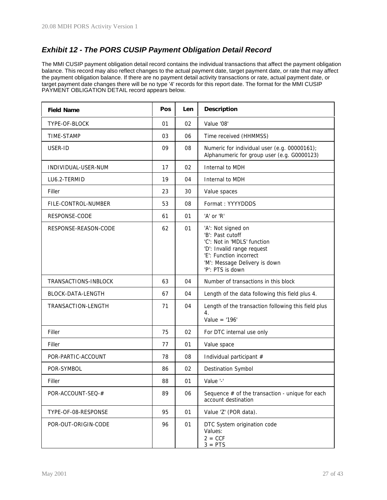## *Exhibit 12 - The PORS CUSIP Payment Obligation Detail Record*

The MMI CUSIP payment obligation detail record contains the individual transactions that affect the payment obligation balance. This record may also reflect changes to the actual payment date, target payment date, or rate that may affect the payment obligation balance. If there are no payment detail activity transactions or rate, actual payment date, or target payment date changes there will be no type '4' records for this report date. The format for the MMI CUSIP PAYMENT OBLIGATION DETAIL record appears below.

| <b>Field Name</b>        | Pos | Len | <b>Description</b>                                                                                                                                                                  |
|--------------------------|-----|-----|-------------------------------------------------------------------------------------------------------------------------------------------------------------------------------------|
| TYPE-OF-BLOCK            | 01  | 02  | Value '08'                                                                                                                                                                          |
| TIME-STAMP               | 03  | 06  | Time received (HHMMSS)                                                                                                                                                              |
| USER-ID                  | 09  | 08  | Numeric for individual user (e.g. 00000161);<br>Alphanumeric for group user (e.g. G0000123)                                                                                         |
| INDIVIDUAL-USER-NUM      | 17  | 02  | Internal to MDH                                                                                                                                                                     |
| LU6.2-TERMID             | 19  | 04  | Internal to MDH                                                                                                                                                                     |
| Filler                   | 23  | 30  | Value spaces                                                                                                                                                                        |
| FILE-CONTROL-NUMBER      | 53  | 08  | Format: YYYYDDDS                                                                                                                                                                    |
| RESPONSE-CODE            | 61  | 01  | 'A' or 'R'                                                                                                                                                                          |
| RESPONSE-REASON-CODE     | 62  | 01  | 'A': Not signed on<br>'B': Past cutoff<br>'C': Not in 'MDLS' function<br>'D': Invalid range request<br>'E': Function incorrect<br>'M': Message Delivery is down<br>'P': PTS is down |
| TRANSACTIONS-INBLOCK     | 63  | 04  | Number of transactions in this block                                                                                                                                                |
| <b>BLOCK-DATA-LENGTH</b> | 67  | 04  | Length of the data following this field plus 4.                                                                                                                                     |
| TRANSACTION-LENGTH       | 71  | 04  | Length of the transaction following this field plus<br>4.<br>Value = $'196'$                                                                                                        |
| Filler                   | 75  | 02  | For DTC internal use only                                                                                                                                                           |
| Filler                   | 77  | 01  | Value space                                                                                                                                                                         |
| POR-PARTIC-ACCOUNT       | 78  | 08  | Individual participant #                                                                                                                                                            |
| POR-SYMBOL               | 86  | 02  | Destination Symbol                                                                                                                                                                  |
| Filler                   | 88  | 01  | Value '-'                                                                                                                                                                           |
| POR-ACCOUNT-SEQ-#        | 89  | 06  | Sequence $#$ of the transaction - unique for each<br>account destination                                                                                                            |
| TYPE-OF-08-RESPONSE      | 95  | 01  | Value 'Z' (POR data).                                                                                                                                                               |
| POR-OUT-ORIGIN-CODE      | 96  | 01  | DTC System origination code<br>Values:<br>$2 = CCF$<br>$3 = PTS$                                                                                                                    |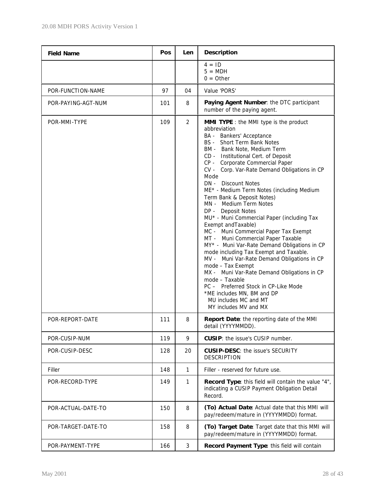| <b>Field Name</b>  | Pos | Len            | <b>Description</b>                                                                                                                                                                                                                                                                                                                                                                                                                                                                                                                                                                                                                                                                                                                                                                                                                                                                                                                                                          |
|--------------------|-----|----------------|-----------------------------------------------------------------------------------------------------------------------------------------------------------------------------------------------------------------------------------------------------------------------------------------------------------------------------------------------------------------------------------------------------------------------------------------------------------------------------------------------------------------------------------------------------------------------------------------------------------------------------------------------------------------------------------------------------------------------------------------------------------------------------------------------------------------------------------------------------------------------------------------------------------------------------------------------------------------------------|
|                    |     |                | $4 = 1D$<br>$5 = MDH$<br>$0 =$ Other                                                                                                                                                                                                                                                                                                                                                                                                                                                                                                                                                                                                                                                                                                                                                                                                                                                                                                                                        |
| POR-FUNCTION-NAME  | 97  | 04             | Value 'PORS'                                                                                                                                                                                                                                                                                                                                                                                                                                                                                                                                                                                                                                                                                                                                                                                                                                                                                                                                                                |
| POR-PAYING-AGT-NUM | 101 | 8              | Paying Agent Number: the DTC participant<br>number of the paying agent.                                                                                                                                                                                                                                                                                                                                                                                                                                                                                                                                                                                                                                                                                                                                                                                                                                                                                                     |
| POR-MMI-TYPE       | 109 | $\overline{2}$ | <b>MMI TYPE</b> : the MMI type is the product<br>abbreviation<br>BA - Bankers' Acceptance<br><b>BS</b> - Short Term Bank Notes<br>BM - Bank Note, Medium Term<br>$CD -$<br>Institutional Cert. of Deposit<br>Corporate Commercial Paper<br>CP -<br>CV - Corp. Var-Rate Demand Obligations in CP<br>Mode<br><b>DN</b> - Discount Notes<br>ME* - Medium Term Notes (including Medium<br>Term Bank & Deposit Notes)<br>MN - Medium Term Notes<br>DP - Deposit Notes<br>MU* - Muni Commercial Paper (including Tax<br>Exempt and Taxable)<br>MC - Muni Commercial Paper Tax Exempt<br>MT - Muni Commercial Paper Taxable<br>MY* - Muni Var-Rate Demand Obligations in CP<br>mode including Tax Exempt and Taxable.<br>MV - Muni Var-Rate Demand Obligations in CP<br>mode - Tax Exempt<br>MX - Muni Var-Rate Demand Obligations in CP<br>mode - Taxable<br>PC - Preferred Stock in CP-Like Mode<br>*ME includes MN, BM and DP<br>MU includes MC and MT<br>MY includes MV and MX |
| POR-REPORT-DATE    | 111 | 8              | Report Date: the reporting date of the MMI<br>detail (YYYYMMDD).                                                                                                                                                                                                                                                                                                                                                                                                                                                                                                                                                                                                                                                                                                                                                                                                                                                                                                            |
| POR-CUSIP-NUM      | 119 | 9              | <b>CUSIP:</b> the issue's CUSIP number.                                                                                                                                                                                                                                                                                                                                                                                                                                                                                                                                                                                                                                                                                                                                                                                                                                                                                                                                     |
| POR-CUSIP-DESC     | 128 | 20             | <b>CUSIP-DESC: the issue's SECURITY</b><br><b>DESCRIPTION</b>                                                                                                                                                                                                                                                                                                                                                                                                                                                                                                                                                                                                                                                                                                                                                                                                                                                                                                               |
| Filler             | 148 | 1              | Filler - reserved for future use.                                                                                                                                                                                                                                                                                                                                                                                                                                                                                                                                                                                                                                                                                                                                                                                                                                                                                                                                           |
| POR-RECORD-TYPE    | 149 | 1              | Record Type: this field will contain the value "4",<br>indicating a CUSIP Payment Obligation Detail<br>Record.                                                                                                                                                                                                                                                                                                                                                                                                                                                                                                                                                                                                                                                                                                                                                                                                                                                              |
| POR-ACTUAL-DATE-TO | 150 | 8              | (To) Actual Date: Actual date that this MMI will<br>pay/redeem/mature in (YYYYMMDD) format.                                                                                                                                                                                                                                                                                                                                                                                                                                                                                                                                                                                                                                                                                                                                                                                                                                                                                 |
| POR-TARGET-DATE-TO | 158 | 8              | (To) Target Date: Target date that this MMI will<br>pay/redeem/mature in (YYYYMMDD) format.                                                                                                                                                                                                                                                                                                                                                                                                                                                                                                                                                                                                                                                                                                                                                                                                                                                                                 |
| POR-PAYMENT-TYPE   | 166 | 3              | Record Payment Type: this field will contain                                                                                                                                                                                                                                                                                                                                                                                                                                                                                                                                                                                                                                                                                                                                                                                                                                                                                                                                |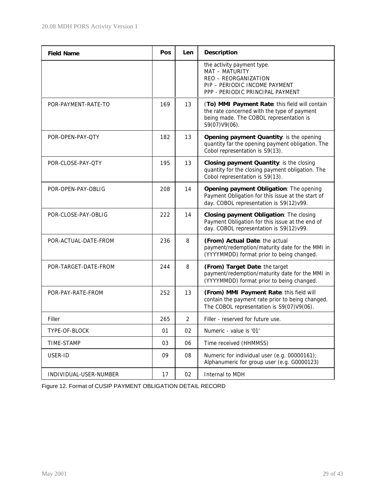| <b>Field Name</b>      | Pos | <b>Len</b>     | <b>Description</b>                                                                                                                                        |
|------------------------|-----|----------------|-----------------------------------------------------------------------------------------------------------------------------------------------------------|
|                        |     |                | the activity payment type.<br>MAT - MATURITY<br>REO - REORGANIZATION<br>PIP - PERIODIC INCOME PAYMENT<br>PPP - PERIODIC PRINCIPAL PAYMENT                 |
| POR-PAYMENT-RATE-TO    | 169 | 13             | (To) MMI Payment Rate: this field will contain<br>the rate concerned with the type of payment<br>being made. The COBOL representation is<br>S9(07)V9(06). |
| POR-OPEN-PAY-QTY       | 182 | 13             | Opening payment Quantity: is the opening<br>quantity far the opening payment obligation. The<br>Cobol representation is S9(13).                           |
| POR-CLOSE-PAY-QTY      | 195 | 13             | Closing payment Quantity: is the closing<br>quantity for the closing payment obligation. The<br>Cobol representation is S9(13).                           |
| POR-OPEN-PAY-OBLIG     | 208 | 14             | Opening payment Obligation: The opening<br>Payment Obligation for this issue at the start of<br>day. COBOL representation is S9(12)v99.                   |
| POR-CLOSE-PAY-OBLIG    | 222 | 14             | Closing payment Obligation: The closing<br>Payment Obligation for this issue at the end of<br>day. COBOL representation is S9(12)v99.                     |
| POR-ACTUAL-DATE-FROM   | 236 | 8              | (From) Actual Date: the actual<br>payment/redemption/maturity date for the MMI in<br>(YYYYMMDD) format prior to being changed.                            |
| POR-TARGET-DATE-FROM   | 244 | 8              | (From) Target Date: the target<br>payment/redemption/maturity date for the MMI in<br>(YYYYMMDD) format prior to being changed.                            |
| POR-PAY-RATE-FROM      | 252 | 13             | (From) MMI Payment Rate: this field will<br>contain the payment rate prior to being changed.<br>The COBOL representation is S9(07)V9(06).                 |
| Filler                 | 265 | $\overline{2}$ | Filler - reserved for future use.                                                                                                                         |
| TYPE-OF-BLOCK          | 01  | 02             | Numeric - value is '01'                                                                                                                                   |
| TIME-STAMP             | 03  | 06             | Time received (HHMMSS)                                                                                                                                    |
| USER-ID                | 09  | 08             | Numeric for individual user (e.g. 00000161);<br>Alphanumeric for group user (e.g. G0000123)                                                               |
| INDIVIDUAL-USER-NUMBER | 17  | 02             | Internal to MDH                                                                                                                                           |

Figure 12. Format of CUSIP PAYMENT OBLIGATION DETAIL RECORD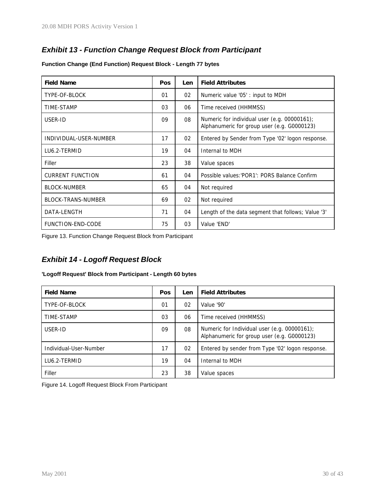## *Exhibit 13 - Function Change Request Block from Participant*

| <b>Field Name</b>       | Pos | <b>Len</b> | <b>Field Attributes</b>                                                                     |
|-------------------------|-----|------------|---------------------------------------------------------------------------------------------|
| TYPE-OF-BLOCK           | 01  | 02         | Numeric value '05': input to MDH                                                            |
| TIME-STAMP              | 03  | 06         | Time received (HHMMSS)                                                                      |
| USER-ID                 | 09  | 08         | Numeric for individual user (e.g. 00000161);<br>Alphanumeric for group user (e.g. G0000123) |
| INDIVIDUAL-USER-NUMBER  | 17  | 02         | Entered by Sender from Type '02' logon response.                                            |
| LU6.2-TERMID            | 19  | 04         | Internal to MDH                                                                             |
| Filler                  | 23  | 38         | Value spaces                                                                                |
| <b>CURRENT FUNCTION</b> | 61  | 04         | Possible values: 'POR1': PORS Balance Confirm                                               |
| <b>BLOCK-NUMBER</b>     | 65  | 04         | Not required                                                                                |
| BLOCK-TRANS-NUMBER      | 69  | 02         | Not required                                                                                |
| DATA-LENGTH             | 71  | 04         | Length of the data segment that follows; Value '3'                                          |
| FUNCTION-END-CODE       | 75  | 03         | Value 'END'                                                                                 |

**Function Change (End Function) Request Block - Length 77 bytes**

Figure 13. Function Change Request Block from Participant

## *Exhibit 14 - Logoff Request Block*

#### **'Logoff Request' Block from Participant - Length 60 bytes**

| <b>Field Name</b>      | Pos | Len | <b>Field Attributes</b>                                                                     |
|------------------------|-----|-----|---------------------------------------------------------------------------------------------|
| TYPE-OF-BLOCK          | 01  | 02  | Value '90'                                                                                  |
| TIME-STAMP             | 03  | 06  | Time received (HHMMSS)                                                                      |
| USER-ID                | 09  | 08  | Numeric for Individual user (e.g. 00000161);<br>Alphanumeric for group user (e.g. G0000123) |
| Individual-User-Number | 17  | 02  | Entered by sender from Type '02' logon response.                                            |
| LU6.2-TERMID           | 19  | 04  | Internal to MDH                                                                             |
| Filler                 | 23  | 38  | Value spaces                                                                                |

Figure 14. Logoff Request Block From Participant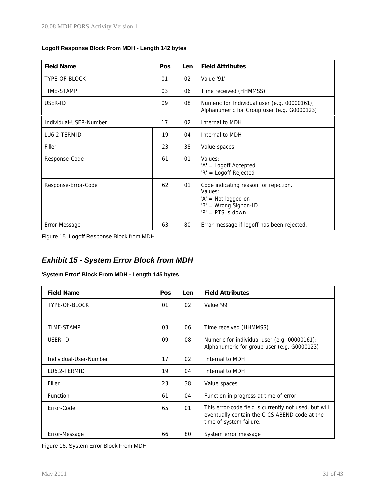| Logoff Response Block From MDH - Length 142 bytes |
|---------------------------------------------------|
|---------------------------------------------------|

| <b>Field Name</b>      | Pos | Len | <b>Field Attributes</b>                                                                                                 |
|------------------------|-----|-----|-------------------------------------------------------------------------------------------------------------------------|
| TYPE-OF-BLOCK          | 01  | 02  | Value '91'                                                                                                              |
| TIME-STAMP             | 03  | 06  | Time received (HHMMSS)                                                                                                  |
| USER-ID                | 09  | 08  | Numeric for Individual user (e.g. 00000161);<br>Alphanumeric for Group user (e.g. G0000123)                             |
| Individual-USER-Number | 17  | 02  | Internal to MDH                                                                                                         |
| LU6.2-TERMID           | 19  | 04  | Internal to MDH                                                                                                         |
| Filler                 | 23  | 38  | Value spaces                                                                                                            |
| Response-Code          | 61  | 01  | Values:<br>'A' = Logoff Accepted<br>'R' = Logoff Rejected                                                               |
| Response-Error-Code    | 62  | 01  | Code indicating reason for rejection.<br>Values:<br>'A' = Not logged on<br>'B' = Wrong Signon-ID<br>$'P' = PTS$ is down |
| Error-Message          | 63  | 80  | Error message if logoff has been rejected.                                                                              |

Figure 15. Logoff Response Block from MDH

## *Exhibit 15 - System Error Block from MDH*

**'System Error' Block From MDH - Length 145 bytes**

| <b>Field Name</b>      | <b>Pos</b> | Len | <b>Field Attributes</b>                                                                                                           |
|------------------------|------------|-----|-----------------------------------------------------------------------------------------------------------------------------------|
| TYPE-OF-BLOCK          | 01         | 02  | Value '99'                                                                                                                        |
|                        |            |     |                                                                                                                                   |
| TIME-STAMP             | 03         | 06  | Time received (HHMMSS)                                                                                                            |
| USER-ID                | 09         | 08  | Numeric for individual user (e.g. 00000161);<br>Alphanumeric for group user (e.g. G0000123)                                       |
| Individual-User-Number | 17         | 02  | Internal to MDH                                                                                                                   |
| LU6.2-TERMID           | 19         | 04  | Internal to MDH                                                                                                                   |
| Filler                 | 23         | 38  | Value spaces                                                                                                                      |
| Function               | 61         | 04  | Function in progress at time of error                                                                                             |
| Error-Code             | 65         | 01  | This error-code field is currently not used, but will<br>eventually contain the CICS ABEND code at the<br>time of system failure. |
| Error-Message          | 66         | 80  | System error message                                                                                                              |

Figure 16. System Error Block From MDH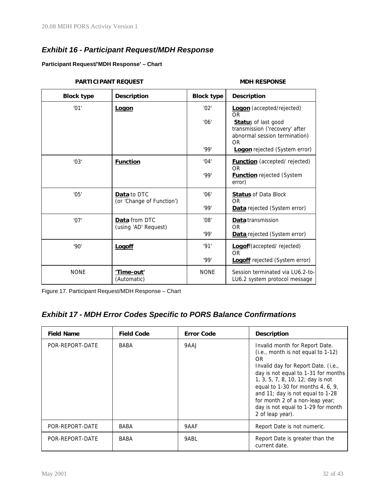## *Exhibit 16 - Participant Request/MDH Response*

#### **Participant Request/'MDH Response' – Chart**

#### **Block type Description Block type Description** '01' **Logon** '02' '06' '99' **Logon** (accepted/rejected) OR **Statu**s of last good transmission ('recovery' after abnormal session termination) OR **Logon** rejected (System error) '03' **Function** '04' '99' **Function** (accepted/ rejected) OR **Function** rejected (System error) '05' **Data** to DTC (or 'Change of Function') '06' '99' **Status** of Data Block OR **Data** rejected (System error) '07' **Data** from DTC (using 'AD' Request) '08' '99' **Data** transmission OR **Data** rejected (System error) '90' **Logoff** '91' '99' **Logof**f(accepted/ rejected) OR **Logoff** rejected (System error) NONE **'Time-out'** (Automatic) NONE Session terminated via LU6.2-to-LU6.2 system protocol message

**PARTICIPANT REQUEST AND MISSION MORE SPONSE** 

Figure 17. Participant Request/MDH Response – Chart

## *Exhibit 17 - MDH Error Codes Specific to PORS Balance Confirmations*

| <b>Field Name</b> | <b>Field Code</b> | <b>Error Code</b> | <b>Description</b>                                                                                                                                                                                                                                                                                                                                                  |
|-------------------|-------------------|-------------------|---------------------------------------------------------------------------------------------------------------------------------------------------------------------------------------------------------------------------------------------------------------------------------------------------------------------------------------------------------------------|
| POR-REPORT-DATE   | BABA              | 9AAJ              | Invalid month for Report Date.<br>(i.e., month is not equal to 1-12)<br>OR<br>Invalid day for Report Date. (i.e.,<br>day is not equal to 1-31 for months<br>1, 3, 5, 7, 8, 10, 12; day is not<br>equal to 1-30 for months 4, 6, 9,<br>and 11; day is not equal to 1-28<br>for month 2 of a non-leap year;<br>day is not equal to 1-29 for month<br>2 of leap year). |
| POR-REPORT-DATE   | BABA              | 9AAF              | Report Date is not numeric.                                                                                                                                                                                                                                                                                                                                         |
| POR-REPORT-DATE   | BABA              | 9ABL              | Report Date is greater than the<br>current date.                                                                                                                                                                                                                                                                                                                    |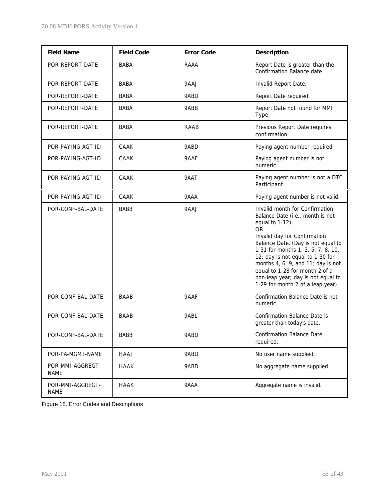| <b>Field Name</b>               | <b>Field Code</b> | <b>Error Code</b> | Description                                                                                                                                                                                                                                                                                                                                                                                           |
|---------------------------------|-------------------|-------------------|-------------------------------------------------------------------------------------------------------------------------------------------------------------------------------------------------------------------------------------------------------------------------------------------------------------------------------------------------------------------------------------------------------|
| POR-REPORT-DATE                 | BABA              | RAAA              | Report Date is greater than the<br>Confirmation Balance date.                                                                                                                                                                                                                                                                                                                                         |
| POR-REPORT-DATE                 | BABA              | 9AAJ              | Invalid Report Date.                                                                                                                                                                                                                                                                                                                                                                                  |
| POR-REPORT-DATE                 | <b>BABA</b>       | 9ABD              | Report Date required.                                                                                                                                                                                                                                                                                                                                                                                 |
| POR-REPORT-DATE                 | <b>BABA</b>       | 9ABB              | Report Date not found for MMI<br>Type.                                                                                                                                                                                                                                                                                                                                                                |
| POR-REPORT-DATE                 | <b>BABA</b>       | RAAB              | Previous Report Date requires<br>confirmation.                                                                                                                                                                                                                                                                                                                                                        |
| POR-PAYING-AGT-ID               | CAAK              | 9ABD              | Paying agent number required.                                                                                                                                                                                                                                                                                                                                                                         |
| POR-PAYING-AGT-ID               | CAAK              | 9AAF              | Paying agent number is not<br>numeric.                                                                                                                                                                                                                                                                                                                                                                |
| POR-PAYING-AGT-ID               | CAAK              | 9AAT              | Paying agent number is not a DTC<br>Participant.                                                                                                                                                                                                                                                                                                                                                      |
| POR-PAYING-AGT-ID               | CAAK              | 9AAA              | Paying agent number is not valid.                                                                                                                                                                                                                                                                                                                                                                     |
| POR-CONF-BAL-DATE               | BABB              | 9AAJ              | Invalid month for Confirmation<br>Balance Date (i.e., month is not<br>equal to 1-12).<br><b>OR</b><br>Invalid day for Confirmation<br>Balance Date. (Day is not equal to<br>1-31 for months 1, 3, 5, 7, 8, 10,<br>12; day is not equal to 1-30 for<br>months 4, 6, 9, and 11; day is not<br>equal to 1-28 for month 2 of a<br>non-leap year; day is not equal to<br>1-29 for month 2 of a leap year). |
| POR-CONF-BAL-DATE               | BAAB              | 9AAF              | Confirmation Balance Date is not<br>numeric.                                                                                                                                                                                                                                                                                                                                                          |
| POR-CONF-BAL-DATE               | BAAB              | 9ABL              | Confirmation Balance Date is<br>greater than today's date.                                                                                                                                                                                                                                                                                                                                            |
| POR-CONF-BAL-DATE               | BABB              | 9ABD              | <b>Confirmation Balance Date</b><br>required.                                                                                                                                                                                                                                                                                                                                                         |
| POR-PA-MGMT-NAME                | HAAJ              | 9ABD              | No user name supplied.                                                                                                                                                                                                                                                                                                                                                                                |
| POR-MMI-AGGREGT-<br><b>NAME</b> | <b>HAAK</b>       | 9ABD              | No aggregate name supplied.                                                                                                                                                                                                                                                                                                                                                                           |
| POR-MMI-AGGREGT-<br><b>NAME</b> | HAAK              | 9AAA              | Aggregate name is invalid.                                                                                                                                                                                                                                                                                                                                                                            |

Figure 18. Error Codes and Descriptions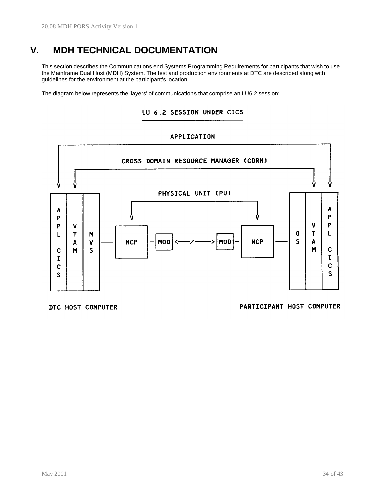# **V. MDH TECHNICAL DOCUMENTATION**

This section describes the Communications end Systems Programming Requirements for participants that wish to use the Mainframe Dual Host (MDH) System. The test and production environments at DTC are described along with guidelines for the environment at the participant's location.

The diagram below represents the 'layers' of communications that comprise an LU6.2 session:

## LU 6.2 SESSION UNDER CICS

#### **APPLICATION**



DTC HOST COMPUTER

PARTICIPANT HOST COMPUTER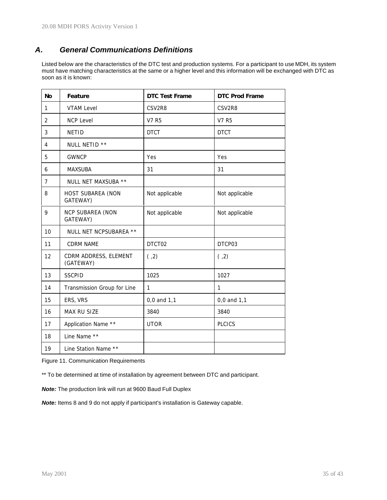## *A. General Communications Definitions*

Listed below are the characteristics of the DTC test and production systems. For a participant to use MDH, its system must have matching characteristics at the same or a higher level and this information will be exchanged with DTC as soon as it is known:

| <b>No</b>      | Feature                             | <b>DTC Test Frame</b> | <b>DTC Prod Frame</b> |
|----------------|-------------------------------------|-----------------------|-----------------------|
| 1              | <b>VTAM Level</b>                   | CSV2R8                | CSV2R8                |
| $\overline{2}$ | <b>NCP Level</b>                    | <b>V7 R5</b>          | V7 R5                 |
| 3              | <b>NETID</b>                        | <b>DTCT</b>           | <b>DTCT</b>           |
| 4              | NULL NETID **                       |                       |                       |
| 5              | <b>GWNCP</b>                        | Yes                   | Yes                   |
| 6              | <b>MAXSUBA</b>                      | 31                    | 31                    |
| $\overline{7}$ | NULL NET MAXSUBA **                 |                       |                       |
| 8              | HOST SUBAREA (NON<br>GATEWAY)       | Not applicable        | Not applicable        |
| 9              | <b>NCP SUBAREA (NON</b><br>GATEWAY) | Not applicable        | Not applicable        |
| 10             | NULL NET NCPSUBAREA **              |                       |                       |
| 11             | <b>CDRM NAME</b>                    | DTCT02                | DTCP03                |
| 12             | CDRM ADDRESS, ELEMENT<br>(GATEWAY)  | (2, 2)                | (2, 2)                |
| 13             | <b>SSCPID</b>                       | 1025                  | 1027                  |
| 14             | Transmission Group for Line         | $\mathbf{1}$          | $\mathbf{1}$          |
| 15             | ERS, VRS                            | 0,0 and 1,1           | 0,0 and 1,1           |
| 16             | MAX RU SIZE                         | 3840                  | 3840                  |
| 17             | Application Name **                 | <b>UTOR</b>           | <b>PLCICS</b>         |
| 18             | Line Name **                        |                       |                       |
| 19             | Line Station Name **                |                       |                       |

Figure 11. Communication Requirements

\*\* To be determined at time of installation by agreement between DTC and participant.

*Note:* The production link will run at 9600 Baud Full Duplex

*Note:* Items 8 and 9 do not apply if participant's installation is Gateway capable.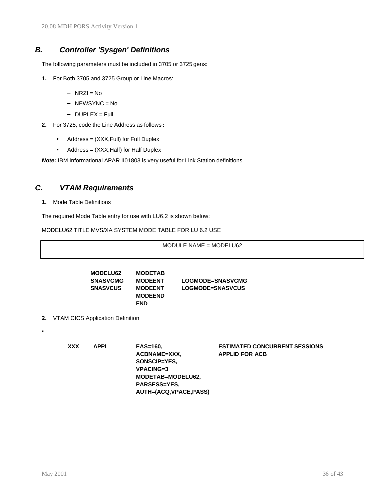## *B. Controller 'Sysgen' Definitions*

The following parameters must be included in 3705 or 3725 gens:

- **1.** For Both 3705 and 3725 Group or Line Macros:
	- − NRZI = No
	- − NEWSYNC = No
	- − DUPLEX = Full
- **2.** For 3725, code the Line Address as follows **:**
	- Address = (XXX,Full) for Full Duplex
	- Address = (XXX, Half) for Half Duplex

*Note:* IBM Informational APAR II01803 is very useful for Link Station definitions.

## *C. VTAM Requirements*

**1.** Mode Table Definitions

The required Mode Table entry for use with LU6.2 is shown below:

MODELU62 TITLE MVS/XA SYSTEM MODE TABLE FOR LU 6.2 USE

MODULE NAME = MODELU62

| <b>MODELU62</b> | <b>MODETAB</b> |                         |
|-----------------|----------------|-------------------------|
| <b>SNASVCMG</b> | <b>MODEENT</b> | LOGMODE=SNASVCMG        |
| <b>SNASVCUS</b> | <b>MODEENT</b> | <b>LOGMODE=SNASVCUS</b> |
|                 | <b>MODEEND</b> |                         |
|                 | <b>END</b>     |                         |

- **2.** VTAM CICS Application Definition
	-

**\***

**XXX APPL EAS=160, ESTIMATED CONCURRENT SESSIONS**  $ACBNAME = XXX$ , **SONSCIP=YES, VPACING=3 MODETAB=MODELU62, PARSESS=YES, AUTH=(ACQ,VPACE,PASS)**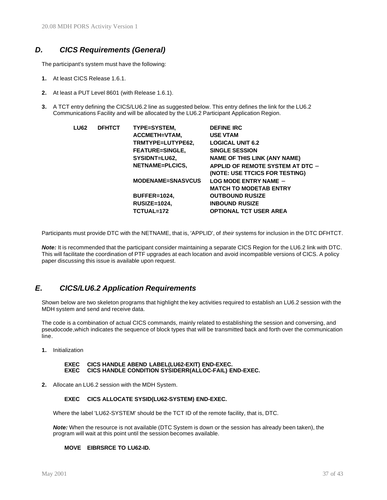## *D. CICS Requirements (General)*

The participant's system must have the following:

- **1.** At least CICS Release 1.6.1.
- **2.** At least a PUT Level 8601 (with Release 1.6.1).
- **3.** A TCT entry defining the CICS/LU6.2 line as suggested below. This entry defines the link for the LU6.2 Communications Facility and will be allocated by the LU6.2 Participant Application Region.

| <b>LU62</b> | <b>DFHTCT</b> | TYPE=SYSTEM,             | <b>DEFINE IRC</b>                       |
|-------------|---------------|--------------------------|-----------------------------------------|
|             |               | ACCMETH=VTAM,            | <b>USE VTAM</b>                         |
|             |               | TRMTYPE=LUTYPE62,        | <b>LOGICAL UNIT 6.2</b>                 |
|             |               | <b>FEATURE=SINGLE,</b>   | <b>SINGLE SESSION</b>                   |
|             |               | SYSIDNT=LU62,            | <b>NAME OF THIS LINK (ANY NAME)</b>     |
|             |               | NETNAME=PLCICS,          | <b>APPLID OF REMOTE SYSTEM AT DTC -</b> |
|             |               |                          | (NOTE: USE TTCICS FOR TESTING)          |
|             |               | <b>MODENAME=SNASVCUS</b> | <b>LOG MODE ENTRY NAME -</b>            |
|             |               |                          | <b>MATCH TO MODETAB ENTRY</b>           |
|             |               | BUFFER=1024.             | <b>OUTBOUND RUSIZE</b>                  |
|             |               | <b>RUSIZE=1024,</b>      | <b>INBOUND RUSIZE</b>                   |
|             |               | TCTUAL=172               | <b>OPTIONAL TCT USER AREA</b>           |

Participants must provide DTC with the NETNAME, that is, 'APPLID', of *their* systems for inclusion in the DTC DFHTCT.

*Note:* It is recommended that the participant consider maintaining a separate CICS Region for the LU6.2 link with DTC. This will facilitate the coordination of PTF upgrades at each location and avoid incompatible versions of CICS. A policy paper discussing this issue is available upon request.

## *E. CICS/LU6.2 Application Requirements*

Shown below are two skeleton programs that highlight the key activities required to establish an LU6.2 session with the MDH system and send and receive data.

The code is a combination of actual CICS commands, mainly related to establishing the session and conversing, and pseudocode,which indicates the sequence of block types that will be transmitted back and forth over the communication line.

**1.** Initialization

#### **EXEC CICS HANDLE ABEND LABEL(LU62-EXIT) END-EXEC. EICS HANDLE CONDITION SYSIDERR(ALLOC-FAIL) END-EXEC.**

**2.** Allocate an LU6.2 session with the MDH System.

#### **EXEC CICS ALLOCATE SYSID(LU62-SYSTEM) END-EXEC.**

Where the label 'LU62-SYSTEM' should be the TCT ID of the remote facility, that is, DTC.

*Note:* When the resource is not available (DTC System is down or the session has already been taken), the program will wait at this point until the session becomes available.

#### **MOVE EIBRSRCE TO LU62-ID.**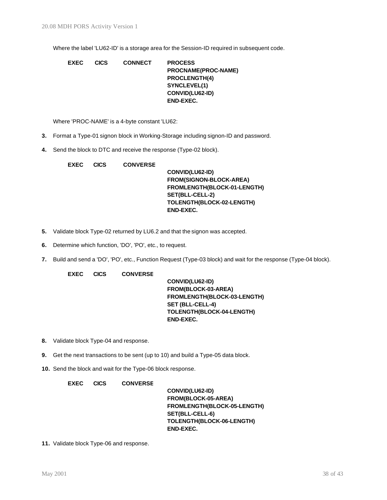Where the label 'LU62-ID' is a storage area for the Session-ID required in subsequent code.

| <b>EXEC</b> | <b>CICS</b> | <b>CONNECT</b> | <b>PROCESS</b>       |
|-------------|-------------|----------------|----------------------|
|             |             |                | PROCNAME(PROC-NAME)  |
|             |             |                | <b>PROCLENGTH(4)</b> |
|             |             |                | SYNCLEVEL(1)         |
|             |             |                | CONVID(LU62-ID)      |
|             |             |                | END-EXEC.            |
|             |             |                |                      |

Where 'PROC-NAME' is a 4-byte constant 'LU62:

- **3.** Format a Type-01 signon block in Working-Storage including signon-ID and password.
- **4.** Send the block to DTC and receive the response (Type-02 block).

| <b>EXEC</b> | <b>CICS</b> | <b>CONVERSE</b> |                                |
|-------------|-------------|-----------------|--------------------------------|
|             |             |                 | CONVID(LU62-ID)                |
|             |             |                 | <b>FROM(SIGNON-BLOCK-AREA)</b> |
|             |             |                 | FROMLENGTH(BLOCK-01-LENGTH)    |
|             |             |                 | SET(BLL-CELL-2)                |
|             |             |                 | TOLENGTH(BLOCK-02-LENGTH)      |
|             |             |                 | <b>END-EXEC.</b>               |
|             |             |                 |                                |

- **5.** Validate block Type-02 returned by LU6.2 and that the signon was accepted.
- **6.** Determine which function, 'DO', 'PO', etc., to request.
- **7.** Build and send a 'DO', 'PO', etc., Function Request (Type-03 block) and wait for the response (Type-04 block).

**EXEC CICS CONVERSE**

**CONVID(LU62-ID) FROM(BLOCK-03-AREA) FROMLENGTH(BLOCK-03-LENGTH) SET (BLL-CELL-4) TOLENGTH(BLOCK-04-LENGTH) END-EXEC.**

- **8.** Validate block Type-04 and response.
- **9.** Get the next transactions to be sent (up to 10) and build a Type-05 data block.
- **10.** Send the block and wait for the Type-06 block response.

**EXEC CICS CONVERSE**

**CONVID(LU62-ID) FROM(BLOCK-05-AREA) FROMLENGTH(BLOCK-05-LENGTH) SET(BLL-CELL-6) TOLENGTH(BLOCK-06-LENGTH) END-EXEC.**

**11.** Validate block Type-06 and response.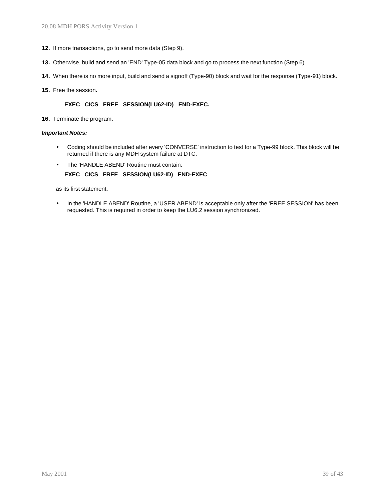- **12.** If more transactions, go to send more data (Step 9).
- **13.** Otherwise, build and send an 'END' Type-05 data block and go to process the next function (Step 6).
- **14.** When there is no more input, build and send a signoff (Type-90) block and wait for the response (Type-91) block.
- **15.** Free the session**.**

#### **EXEC CICS FREE SESSION(LU62-ID) END-EXEC.**

**16.** Terminate the program.

#### *Important Notes:*

- Coding should be included after every 'CONVERSE' instruction to test for a Type-99 block. This block will be returned if there is any MDH system failure at DTC.
- The 'HANDLE ABEND' Routine must contain:
	- **EXEC CICS FREE SESSION(LU62-ID) END-EXEC**.

as its first statement.

• In the 'HANDLE ABEND' Routine, a 'USER ABEND' is acceptable only after the 'FREE SESSION' has been requested. This is required in order to keep the LU6.2 session synchronized.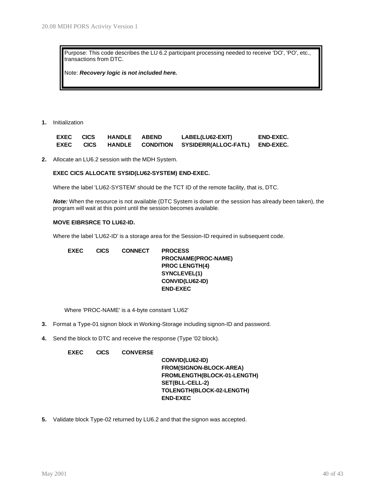Purpose: This code describes the LU 6.2 participant processing needed to receive 'DO', 'PO', etc., transactions from DTC.

Note: *Recovery logic is not included here.*

**1.** Initialization

| <b>EXEC</b> | <b>CICS</b> | <b>HANDLE</b> | <b>ABEND</b>     | LABEL(LU62-EXIT)            | <b>END-EXEC.</b> |
|-------------|-------------|---------------|------------------|-----------------------------|------------------|
| <b>EXEC</b> | <b>CICS</b> | <b>HANDLE</b> | <b>CONDITION</b> | <b>SYSIDERR(ALLOC-FATL)</b> | <b>END-EXEC.</b> |

**2.** Allocate an LU6.2 session with the MDH System.

#### **EXEC CICS ALLOCATE SYSID(LU62-SYSTEM) END-EXEC.**

Where the label 'LU62-SYSTEM' should be the TCT ID of the remote facility, that is, DTC.

*Note:* When the resource is not available (DTC System is down or the session has already been taken), the program will wait at this point until the session becomes available.

#### **MOVE EIBRSRCE TO LU62-ID.**

Where the label 'LU62-ID' is a storage area for the Session-ID required in subsequent code.

| <b>EXEC</b> | <b>CICS</b> | <b>CONNECT</b> | <b>PROCESS</b>        |
|-------------|-------------|----------------|-----------------------|
|             |             |                | PROCNAME(PROC-NAME)   |
|             |             |                | <b>PROC LENGTH(4)</b> |
|             |             |                | SYNCLEVEL(1)          |
|             |             |                | CONVID(LU62-ID)       |
|             |             |                | <b>END-EXEC</b>       |
|             |             |                |                       |

Where 'PROC-NAME' is a 4-byte constant 'LU62'

- **3.** Format a Type-01 signon block in Working-Storage including signon-ID and password.
- **4.** Send the block to DTC and receive the response (Type '02 block).

#### **EXEC CICS CONVERSE**

**CONVID(LU62-ID) FROM(SIGNON-BLOCK-AREA) FROMLENGTH(BLOCK-01-LENGTH) SET(BLL-CELL-2) TOLENGTH(BLOCK-02-LENGTH) END-EXEC**

**5.** Validate block Type-02 returned by LU6.2 and that the signon was accepted.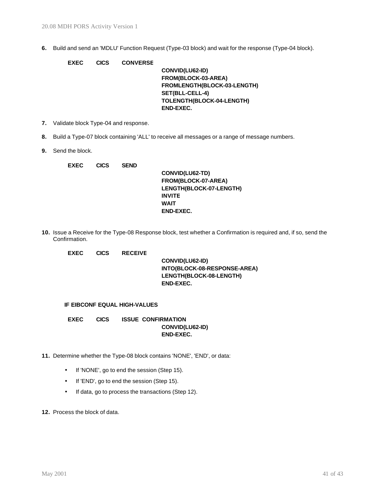**6.** Build and send an 'MDLU' Function Request (Type-03 block) and wait for the response (Type-04 block).

| <b>EXEC</b> | <b>CICS</b> | <b>CONVERSE</b> |                             |
|-------------|-------------|-----------------|-----------------------------|
|             |             |                 | CONVID(LU62-ID)             |
|             |             |                 | FROM(BLOCK-03-AREA)         |
|             |             |                 | FROMLENGTH(BLOCK-03-LENGTH) |
|             |             |                 | SET(BLL-CELL-4)             |
|             |             |                 | TOLENGTH(BLOCK-04-LENGTH)   |
|             |             |                 | <b>END-EXEC.</b>            |
|             |             |                 |                             |

- **7.** Validate block Type-04 and response.
- **8.** Build a Type-07 block containing 'ALL' to receive all messages or a range of message numbers.
- **9.** Send the block.

| <b>EXEC</b> | <b>CICS</b> | <b>SEND</b> |                         |
|-------------|-------------|-------------|-------------------------|
|             |             |             | CONVID(LU62-TD)         |
|             |             |             | FROM(BLOCK-07-AREA)     |
|             |             |             | LENGTH(BLOCK-07-LENGTH) |
|             |             |             | <b>INVITE</b>           |
|             |             |             | <b>WAIT</b>             |
|             |             |             | <b>END-EXEC.</b>        |

**10.** Issue a Receive for the Type-08 Response block, test whether a Confirmation is required and, if so, send the Confirmation.

**EXEC CICS RECEIVE**

**CONVID(LU62-ID) INTO(BLOCK-08-RESPONSE-AREA) LENGTH(BLOCK-08-LENGTH) END-EXEC.**

#### **IF EIBCONF EQUAL HIGH-VALUES**

**EXEC CICS ISSUE CONFIRMATION CONVID(LU62-ID) END-EXEC.**

- **11.** Determine whether the Type-08 block contains 'NONE', 'END', or data:
	- If 'NONE', go to end the session (Step 15).
	- If 'END', go to end the session (Step 15).
	- If data, go to process the transactions (Step 12).
- **12.** Process the block of data.